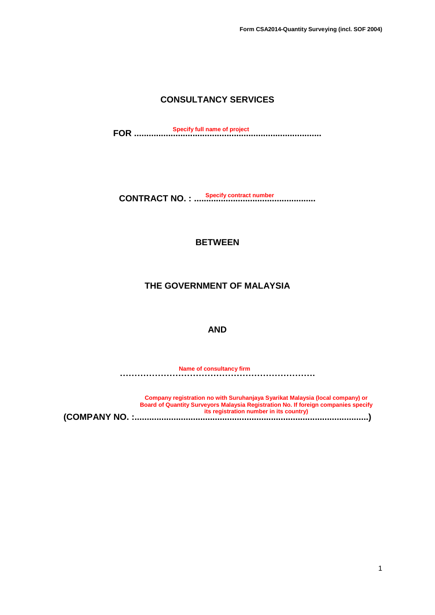## **CONSULTANCY SERVICES**

**FOR ............................................................................. Specify full name of project**

**CONTRACT NO. : .................................................. Specify contract number**

#### **BETWEEN**

#### **THE GOVERNMENT OF MALAYSIA**

#### **AND**

**…………………………………………………………. Name of consultancy firm**

**(COMPANY NO. :................................................................................................) Company registration no with Suruhanjaya Syarikat Malaysia (local company) or Board of Quantity Surveyors Malaysia Registration No. If foreign companies specify its registration number in its country)**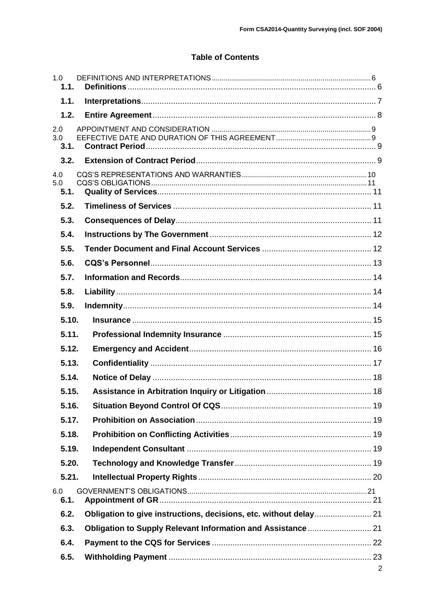#### **Table of Contents**

| 1.0<br>1.1.        |                |
|--------------------|----------------|
| 1.1.               |                |
| 1.2.               |                |
| 2.0<br>3.0<br>3.1. |                |
| 3.2.               |                |
| 4.0<br>5.0<br>5.1. |                |
| 5.2.               |                |
| 5.3.               |                |
| 5.4.               |                |
| 5.5.               |                |
| 5.6.               |                |
| 5.7.               |                |
| 5.8.               |                |
| 5.9.               |                |
| 5.10.              |                |
| 5.11.              |                |
| 5.12.              |                |
| 5.13.              |                |
| 5.14.              |                |
| 5.15.              |                |
| 5.16.              |                |
| 5.17.              |                |
| 5.18.              |                |
| 5.19.              |                |
| 5.20.              |                |
| 5.21.              |                |
| 6.0<br>6.1.        |                |
| 6.2.               |                |
| 6.3.               |                |
| 6.4.               |                |
| 6.5.               |                |
|                    | $\overline{2}$ |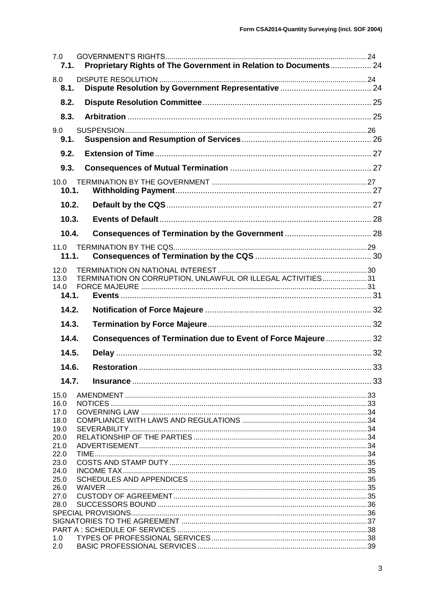| 7.0<br>7.1.                   | Proprietary Rights of The Government in Relation to Documents 24 |  |
|-------------------------------|------------------------------------------------------------------|--|
| 8.0<br>8.1.                   |                                                                  |  |
| 8.2.                          |                                                                  |  |
| 8.3.                          |                                                                  |  |
| 9.0<br>9.1.                   |                                                                  |  |
| 9.2.                          |                                                                  |  |
| 9.3.                          |                                                                  |  |
| 10.0<br>10.1.                 |                                                                  |  |
| 10.2.                         |                                                                  |  |
| 10.3.                         |                                                                  |  |
| 10.4.                         |                                                                  |  |
| 11.0                          |                                                                  |  |
| 11.1.                         |                                                                  |  |
| 12.0<br>13.0<br>14.0<br>14.1. | TERMINATION ON CORRUPTION, UNLAWFUL OR ILLEGAL ACTIVITIES31      |  |
|                               |                                                                  |  |
| 14.2.                         |                                                                  |  |
| 14.3.                         |                                                                  |  |
| 14.4.                         | Consequences of Termination due to Event of Force Majeure  32    |  |
| 14.5.                         |                                                                  |  |
| 14.6.                         |                                                                  |  |
| 14.7.                         |                                                                  |  |
| 15.0                          |                                                                  |  |
| 16.0<br>17.0                  |                                                                  |  |
| 18.0                          |                                                                  |  |
| 19.0                          |                                                                  |  |
| 20.0<br>21.0                  |                                                                  |  |
| 22.0                          |                                                                  |  |
| 23.0                          |                                                                  |  |
| 24.0<br>25.0                  |                                                                  |  |
| 26.0                          |                                                                  |  |
| 27.0                          |                                                                  |  |
| 28.0                          |                                                                  |  |
|                               |                                                                  |  |
| 1.0                           |                                                                  |  |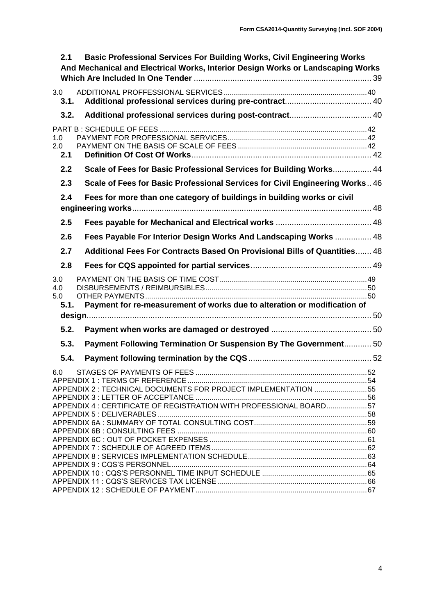| 2.1                       | <b>Basic Professional Services For Building Works, Civil Engineering Works</b><br>And Mechanical and Electrical Works, Interior Design Works or Landscaping Works |  |
|---------------------------|-------------------------------------------------------------------------------------------------------------------------------------------------------------------|--|
| 3.0<br>3.1.               |                                                                                                                                                                   |  |
| 3.2.                      |                                                                                                                                                                   |  |
| 1.0<br>2.0<br>2.1         |                                                                                                                                                                   |  |
| 2.2                       | Scale of Fees for Basic Professional Services for Building Works 44                                                                                               |  |
| 2.3                       | Scale of Fees for Basic Professional Services for Civil Engineering Works 46                                                                                      |  |
| 2.4                       | Fees for more than one category of buildings in building works or civil                                                                                           |  |
| 2.5                       |                                                                                                                                                                   |  |
| 2.6                       | Fees Payable For Interior Design Works And Landscaping Works  48                                                                                                  |  |
| 2.7                       | Additional Fees For Contracts Based On Provisional Bills of Quantities 48                                                                                         |  |
| 2.8                       |                                                                                                                                                                   |  |
| 3.0<br>4.0<br>5.0<br>5.1. | Payment for re-measurement of works due to alteration or modification of                                                                                          |  |
| 5.2.                      |                                                                                                                                                                   |  |
| 5.3.                      | Payment Following Termination Or Suspension By The Government 50                                                                                                  |  |
| 5.4.                      |                                                                                                                                                                   |  |
| 6.0                       | APPENDIX 2 : TECHNICAL DOCUMENTS FOR PROJECT IMPLEMENTATION 55<br>APPENDIX 4 : CERTIFICATE OF REGISTRATION WITH PROFESSIONAL BOARD57                              |  |
|                           |                                                                                                                                                                   |  |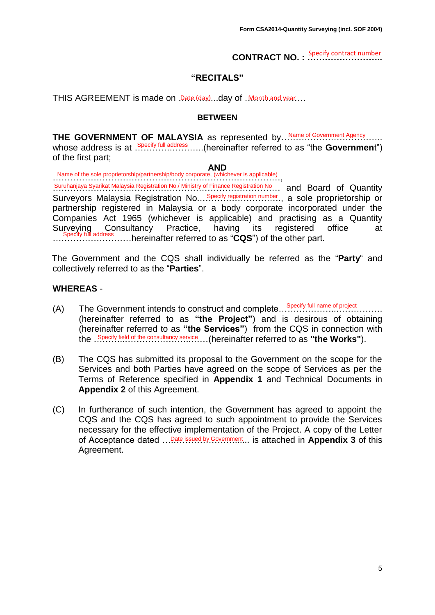**CONTRACT NO. : ……………………..** Specify contract number

#### **"RECITALS"**

THIS AGREEMENT is made on Date (day)...day of .Month and year....

#### **BETWEEN**

**THE GOVERNMENT OF MALAYSIA** as represented by... Name of Government Agency....... whose address is at Specify full address ......(hereinafter referred to as "the **Governmen**t") of the first part;

#### **AND**

……………………………………………………………………, Name of the sole proprietorship/partnership/body corporate, (whichever is applicable)

Suruhanjaya Syarikat Malaysia Registration No./ Ministry of Finance Registration No... and Board of Quantity Surveyors Malaysia Registration No... Specify registration number., a sole proprietorship or partnership registered in Malaysia or a body corporate incorporated under the Companies Act 1965 (whichever is applicable) and practising as a Quantity Surveying Consultancy Practice, having its registered office at Specify full address......hereinafter referred to as "CQS") of the other part.

The Government and the CQS shall individually be referred as the "**Party**" and collectively referred to as the "**Parties**".

#### **WHEREAS** -

- (A) The Government intends to construct and complete………………..……………. Specify full name of project (hereinafter referred to as **"the Project"**) and is desirous of obtaining (hereinafter referred to as **"the Services"**) from the CQS in connection with the . Specify field of the consultancy service ... (hereinafter referred to as "the Works").
- (B) The CQS has submitted its proposal to the Government on the scope for the Services and both Parties have agreed on the scope of Services as per the Terms of Reference specified in **Appendix 1** and Technical Documents in **Appendix 2** of this Agreement.
- (C) In furtherance of such intention, the Government has agreed to appoint the CQS and the CQS has agreed to such appointment to provide the Services necessary for the effective implementation of the Project. A copy of the Letter of Acceptance dated ...<sup>Date issued by Government...</sup> is attached in **Appendix 3** of this Agreement.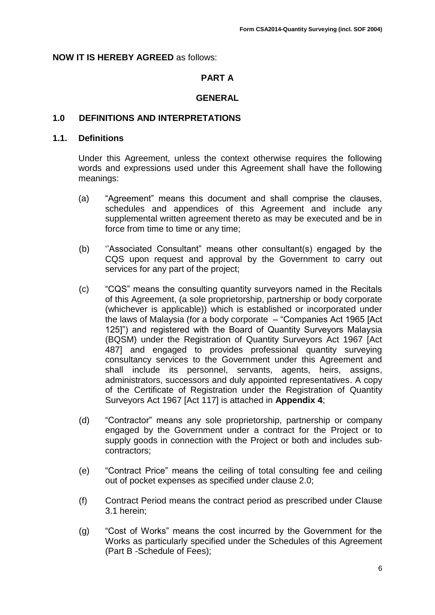#### **NOW IT IS HEREBY AGREED** as follows:

## **PART A**

#### **GENERAL**

#### <span id="page-5-0"></span>**1.0 DEFINITIONS AND INTERPRETATIONS**

#### <span id="page-5-1"></span>**1.1. Definitions**

Under this Agreement, unless the context otherwise requires the following words and expressions used under this Agreement shall have the following meanings:

- (a) "Agreement" means this document and shall comprise the clauses, schedules and appendices of this Agreement and include any supplemental written agreement thereto as may be executed and be in force from time to time or any time;
- (b) ''Associated Consultant" means other consultant(s) engaged by the CQS upon request and approval by the Government to carry out services for any part of the project;
- (c) "CQS" means the consulting quantity surveyors named in the Recitals of this Agreement, (a sole proprietorship, partnership or body corporate (whichever is applicable)) which is established or incorporated under the laws of Malaysia (for a body corporate – "Companies Act 1965 [Act 125]") and registered with the Board of Quantity Surveyors Malaysia (BQSM) under the Registration of Quantity Surveyors Act 1967 [Act 487] and engaged to provides professional quantity surveying consultancy services to the Government under this Agreement and shall include its personnel, servants, agents, heirs, assigns, administrators, successors and duly appointed representatives. A copy of the Certificate of Registration under the Registration of Quantity Surveyors Act 1967 [Act 117] is attached in **Appendix 4**;
- (d) "Contractor" means any sole proprietorship, partnership or company engaged by the Government under a contract for the Project or to supply goods in connection with the Project or both and includes subcontractors;
- (e) "Contract Price" means the ceiling of total consulting fee and ceiling out of pocket expenses as specified under clause 2.0;
- (f) Contract Period means the contract period as prescribed under Clause 3.1 herein;
- (g) "Cost of Works" means the cost incurred by the Government for the Works as particularly specified under the Schedules of this Agreement (Part B -Schedule of Fees);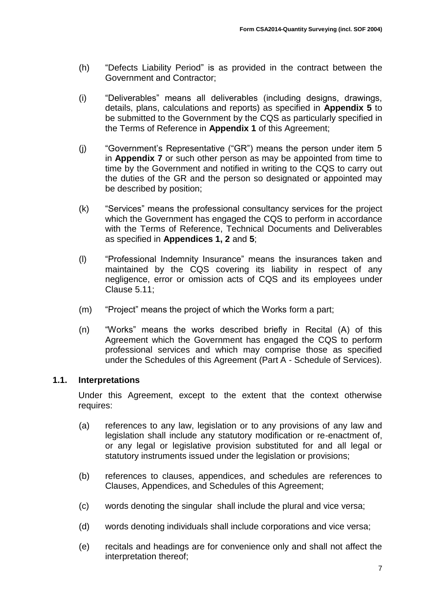- (h) "Defects Liability Period" is as provided in the contract between the Government and Contractor;
- (i) "Deliverables" means all deliverables (including designs, drawings, details, plans, calculations and reports) as specified in **Appendix 5** to be submitted to the Government by the CQS as particularly specified in the Terms of Reference in **Appendix 1** of this Agreement;
- (j) "Government's Representative ("GR") means the person under item 5 in **Appendix 7** or such other person as may be appointed from time to time by the Government and notified in writing to the CQS to carry out the duties of the GR and the person so designated or appointed may be described by position;
- (k) "Services" means the professional consultancy services for the project which the Government has engaged the CQS to perform in accordance with the Terms of Reference, Technical Documents and Deliverables as specified in **Appendices 1, 2** and **5**;
- (l) "Professional Indemnity Insurance" means the insurances taken and maintained by the CQS covering its liability in respect of any negligence, error or omission acts of CQS and its employees under Clause 5.11;
- (m) "Project" means the project of which the Works form a part;
- (n) "Works" means the works described briefly in Recital (A) of this Agreement which the Government has engaged the CQS to perform professional services and which may comprise those as specified under the Schedules of this Agreement (Part A - Schedule of Services).

## <span id="page-6-0"></span>**1.1. Interpretations**

Under this Agreement, except to the extent that the context otherwise requires:

- (a) references to any law, legislation or to any provisions of any law and legislation shall include any statutory modification or re-enactment of, or any legal or legislative provision substituted for and all legal or statutory instruments issued under the legislation or provisions;
- (b) references to clauses, appendices, and schedules are references to Clauses, Appendices, and Schedules of this Agreement;
- (c) words denoting the singular shall include the plural and vice versa;
- (d) words denoting individuals shall include corporations and vice versa;
- (e) recitals and headings are for convenience only and shall not affect the interpretation thereof;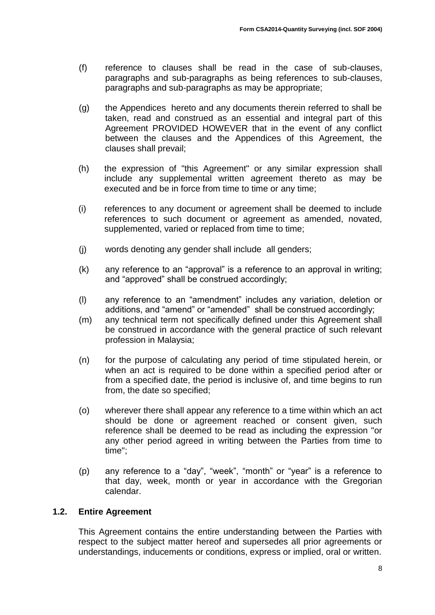- (f) reference to clauses shall be read in the case of sub-clauses, paragraphs and sub-paragraphs as being references to sub-clauses, paragraphs and sub-paragraphs as may be appropriate;
- (g) the Appendices hereto and any documents therein referred to shall be taken, read and construed as an essential and integral part of this Agreement PROVIDED HOWEVER that in the event of any conflict between the clauses and the Appendices of this Agreement, the clauses shall prevail;
- (h) the expression of "this Agreement" or any similar expression shall include any supplemental written agreement thereto as may be executed and be in force from time to time or any time;
- (i) references to any document or agreement shall be deemed to include references to such document or agreement as amended, novated, supplemented, varied or replaced from time to time;
- (j) words denoting any gender shall include all genders;
- (k) any reference to an "approval" is a reference to an approval in writing; and "approved" shall be construed accordingly;
- (l) any reference to an "amendment" includes any variation, deletion or additions, and "amend" or "amended" shall be construed accordingly;
- (m) any technical term not specifically defined under this Agreement shall be construed in accordance with the general practice of such relevant profession in Malaysia;
- (n) for the purpose of calculating any period of time stipulated herein, or when an act is required to be done within a specified period after or from a specified date, the period is inclusive of, and time begins to run from, the date so specified;
- (o) wherever there shall appear any reference to a time within which an act should be done or agreement reached or consent given, such reference shall be deemed to be read as including the expression "or any other period agreed in writing between the Parties from time to time";
- (p) any reference to a "day", "week", "month" or "year" is a reference to that day, week, month or year in accordance with the Gregorian calendar.

## <span id="page-7-0"></span>**1.2. Entire Agreement**

This Agreement contains the entire understanding between the Parties with respect to the subject matter hereof and supersedes all prior agreements or understandings, inducements or conditions, express or implied, oral or written.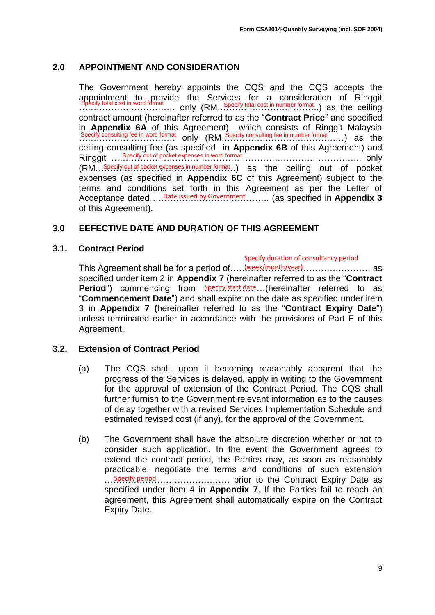#### <span id="page-8-0"></span>**2.0 APPOINTMENT AND CONSIDERATION**

The Government hereby appoints the CQS and the CQS accepts the appointment to provide the Services for a consideration of Ringgit …………………………… only (RM……………………………..) as the ceiling Specify total cost in word format Specify total cost in number format contract amount (hereinafter referred to as the "**Contract Price**" and specified in **Appendix 6A** of this Agreement) which consists of Ringgit Malaysia Specify consulting fee in word format only  $(RM...$  Specify consulting fee in number format ......) as the ceiling consulting fee (as specified in **Appendix 6B** of this Agreement) and Ringgit Specify out of pocket expenses in word format match contains the control only (RM...Specify out of pocket expenses in number format..) as the ceiling out of pocket expenses (as specified in **Appendix 6C** of this Agreement) subject to the terms and conditions set forth in this Agreement as per the Letter of Acceptance dated ....<sup>Date issued by Government</sup> ......... (as specified in Appendix 3 of this Agreement).

#### <span id="page-8-1"></span>**3.0 EEFECTIVE DATE AND DURATION OF THIS AGREEMENT**

#### <span id="page-8-2"></span>**3.1. Contract Period**

#### Specify duration of consultancy period

This Agreement shall be for a period of..... (week/month/year)............................ as specified under item 2 in **Appendix 7** (hereinafter referred to as the "**Contract Period**") commencing from Specify start date (hereinafter referred to as "**Commencement Date**") and shall expire on the date as specified under item 3 in **Appendix 7 (**hereinafter referred to as the "**Contract Expiry Date**") unless terminated earlier in accordance with the provisions of Part E of this Agreement.

#### <span id="page-8-3"></span>**3.2. Extension of Contract Period**

- (a) The CQS shall, upon it becoming reasonably apparent that the progress of the Services is delayed, apply in writing to the Government for the approval of extension of the Contract Period. The CQS shall further furnish to the Government relevant information as to the causes of delay together with a revised Services Implementation Schedule and estimated revised cost (if any), for the approval of the Government.
- (b) The Government shall have the absolute discretion whether or not to consider such application. In the event the Government agrees to extend the contract period, the Parties may, as soon as reasonably practicable, negotiate the terms and conditions of such extension ……………………………………. prior to the Contract Expiry Date as Specify period specified under item 4 in **Appendix 7**. If the Parties fail to reach an agreement, this Agreement shall automatically expire on the Contract Expiry Date.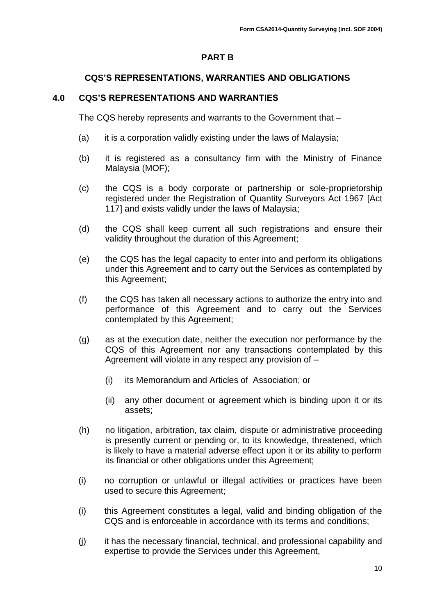#### **PART B**

#### **CQS'S REPRESENTATIONS, WARRANTIES AND OBLIGATIONS**

#### <span id="page-9-0"></span>**4.0 CQS'S REPRESENTATIONS AND WARRANTIES**

The CQS hereby represents and warrants to the Government that –

- (a) it is a corporation validly existing under the laws of Malaysia;
- (b) it is registered as a consultancy firm with the Ministry of Finance Malaysia (MOF);
- (c) the CQS is a body corporate or partnership or sole-proprietorship registered under the Registration of Quantity Surveyors Act 1967 [Act 117] and exists validly under the laws of Malaysia;
- (d) the CQS shall keep current all such registrations and ensure their validity throughout the duration of this Agreement;
- (e) the CQS has the legal capacity to enter into and perform its obligations under this Agreement and to carry out the Services as contemplated by this Agreement;
- (f) the CQS has taken all necessary actions to authorize the entry into and performance of this Agreement and to carry out the Services contemplated by this Agreement;
- (g) as at the execution date, neither the execution nor performance by the CQS of this Agreement nor any transactions contemplated by this Agreement will violate in any respect any provision of –
	- (i) its Memorandum and Articles of Association; or
	- (ii) any other document or agreement which is binding upon it or its assets;
- (h) no litigation, arbitration, tax claim, dispute or administrative proceeding is presently current or pending or, to its knowledge, threatened, which is likely to have a material adverse effect upon it or its ability to perform its financial or other obligations under this Agreement;
- (i) no corruption or unlawful or illegal activities or practices have been used to secure this Agreement;
- (i) this Agreement constitutes a legal, valid and binding obligation of the CQS and is enforceable in accordance with its terms and conditions;
- (j) it has the necessary financial, technical, and professional capability and expertise to provide the Services under this Agreement,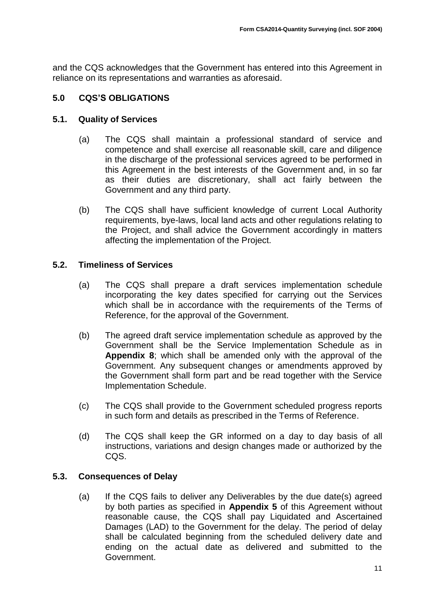and the CQS acknowledges that the Government has entered into this Agreement in reliance on its representations and warranties as aforesaid.

## <span id="page-10-0"></span>**5.0 CQS'S OBLIGATIONS**

#### <span id="page-10-1"></span>**5.1. Quality of Services**

- (a) The CQS shall maintain a professional standard of service and competence and shall exercise all reasonable skill, care and diligence in the discharge of the professional services agreed to be performed in this Agreement in the best interests of the Government and, in so far as their duties are discretionary, shall act fairly between the Government and any third party.
- (b) The CQS shall have sufficient knowledge of current Local Authority requirements, bye-laws, local land acts and other regulations relating to the Project, and shall advice the Government accordingly in matters affecting the implementation of the Project.

#### <span id="page-10-2"></span>**5.2. Timeliness of Services**

- (a) The CQS shall prepare a draft services implementation schedule incorporating the key dates specified for carrying out the Services which shall be in accordance with the requirements of the Terms of Reference, for the approval of the Government.
- (b) The agreed draft service implementation schedule as approved by the Government shall be the Service Implementation Schedule as in **Appendix 8**; which shall be amended only with the approval of the Government. Any subsequent changes or amendments approved by the Government shall form part and be read together with the Service Implementation Schedule.
- (c) The CQS shall provide to the Government scheduled progress reports in such form and details as prescribed in the Terms of Reference.
- (d) The CQS shall keep the GR informed on a day to day basis of all instructions, variations and design changes made or authorized by the CQS.

#### <span id="page-10-3"></span>**5.3. Consequences of Delay**

(a) If the CQS fails to deliver any Deliverables by the due date(s) agreed by both parties as specified in **Appendix 5** of this Agreement without reasonable cause, the CQS shall pay Liquidated and Ascertained Damages (LAD) to the Government for the delay. The period of delay shall be calculated beginning from the scheduled delivery date and ending on the actual date as delivered and submitted to the Government.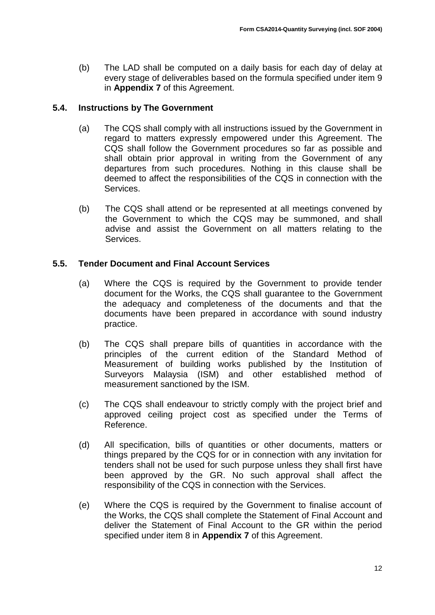(b) The LAD shall be computed on a daily basis for each day of delay at every stage of deliverables based on the formula specified under item 9 in **Appendix 7** of this Agreement.

## <span id="page-11-0"></span>**5.4. Instructions by The Government**

- (a) The CQS shall comply with all instructions issued by the Government in regard to matters expressly empowered under this Agreement. The CQS shall follow the Government procedures so far as possible and shall obtain prior approval in writing from the Government of any departures from such procedures. Nothing in this clause shall be deemed to affect the responsibilities of the CQS in connection with the Services.
- (b) The CQS shall attend or be represented at all meetings convened by the Government to which the CQS may be summoned, and shall advise and assist the Government on all matters relating to the Services.

## <span id="page-11-1"></span>**5.5. Tender Document and Final Account Services**

- (a) Where the CQS is required by the Government to provide tender document for the Works, the CQS shall guarantee to the Government the adequacy and completeness of the documents and that the documents have been prepared in accordance with sound industry practice.
- (b) The CQS shall prepare bills of quantities in accordance with the principles of the current edition of the Standard Method of Measurement of building works published by the Institution of Surveyors Malaysia (ISM) and other established method of measurement sanctioned by the ISM.
- (c) The CQS shall endeavour to strictly comply with the project brief and approved ceiling project cost as specified under the Terms of Reference.
- (d) All specification, bills of quantities or other documents, matters or things prepared by the CQS for or in connection with any invitation for tenders shall not be used for such purpose unless they shall first have been approved by the GR. No such approval shall affect the responsibility of the CQS in connection with the Services.
- (e) Where the CQS is required by the Government to finalise account of the Works, the CQS shall complete the Statement of Final Account and deliver the Statement of Final Account to the GR within the period specified under item 8 in **Appendix 7** of this Agreement.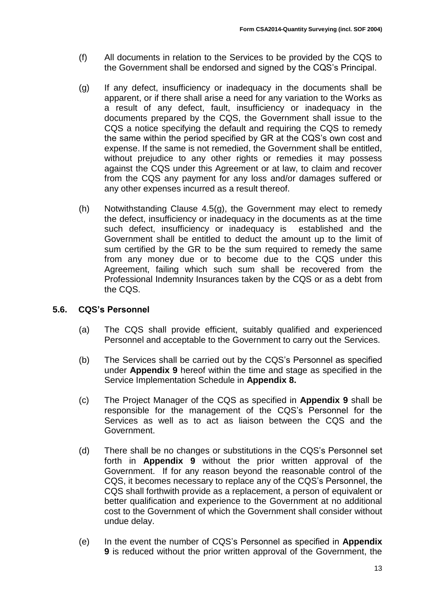- (f) All documents in relation to the Services to be provided by the CQS to the Government shall be endorsed and signed by the CQS's Principal.
- (g) If any defect, insufficiency or inadequacy in the documents shall be apparent, or if there shall arise a need for any variation to the Works as a result of any defect, fault, insufficiency or inadequacy in the documents prepared by the CQS, the Government shall issue to the CQS a notice specifying the default and requiring the CQS to remedy the same within the period specified by GR at the CQS's own cost and expense. If the same is not remedied, the Government shall be entitled, without prejudice to any other rights or remedies it may possess against the CQS under this Agreement or at law, to claim and recover from the CQS any payment for any loss and/or damages suffered or any other expenses incurred as a result thereof.
- (h) Notwithstanding Clause 4.5(g), the Government may elect to remedy the defect, insufficiency or inadequacy in the documents as at the time such defect, insufficiency or inadequacy is established and the Government shall be entitled to deduct the amount up to the limit of sum certified by the GR to be the sum required to remedy the same from any money due or to become due to the CQS under this Agreement, failing which such sum shall be recovered from the Professional Indemnity Insurances taken by the CQS or as a debt from the CQS.

## <span id="page-12-0"></span>**5.6. CQS's Personnel**

- (a) The CQS shall provide efficient, suitably qualified and experienced Personnel and acceptable to the Government to carry out the Services.
- (b) The Services shall be carried out by the CQS's Personnel as specified under **Appendix 9** hereof within the time and stage as specified in the Service Implementation Schedule in **Appendix 8.**
- (c) The Project Manager of the CQS as specified in **Appendix 9** shall be responsible for the management of the CQS's Personnel for the Services as well as to act as liaison between the CQS and the Government.
- (d) There shall be no changes or substitutions in the CQS's Personnel set forth in **Appendix 9** without the prior written approval of the Government. If for any reason beyond the reasonable control of the CQS, it becomes necessary to replace any of the CQS's Personnel, the CQS shall forthwith provide as a replacement, a person of equivalent or better qualification and experience to the Government at no additional cost to the Government of which the Government shall consider without undue delay.
- (e) In the event the number of CQS's Personnel as specified in **Appendix 9** is reduced without the prior written approval of the Government, the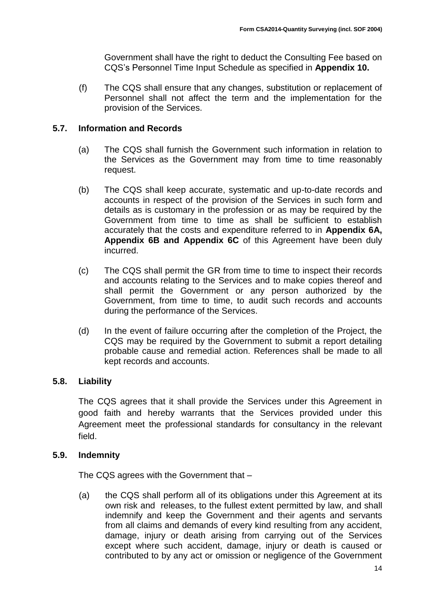Government shall have the right to deduct the Consulting Fee based on CQS's Personnel Time Input Schedule as specified in **Appendix 10.**

(f) The CQS shall ensure that any changes, substitution or replacement of Personnel shall not affect the term and the implementation for the provision of the Services.

## <span id="page-13-0"></span>**5.7. Information and Records**

- (a) The CQS shall furnish the Government such information in relation to the Services as the Government may from time to time reasonably request.
- (b) The CQS shall keep accurate, systematic and up-to-date records and accounts in respect of the provision of the Services in such form and details as is customary in the profession or as may be required by the Government from time to time as shall be sufficient to establish accurately that the costs and expenditure referred to in **Appendix 6A, Appendix 6B and Appendix 6C** of this Agreement have been duly incurred.
- (c) The CQS shall permit the GR from time to time to inspect their records and accounts relating to the Services and to make copies thereof and shall permit the Government or any person authorized by the Government, from time to time, to audit such records and accounts during the performance of the Services.
- (d) In the event of failure occurring after the completion of the Project, the CQS may be required by the Government to submit a report detailing probable cause and remedial action. References shall be made to all kept records and accounts.

## <span id="page-13-1"></span>**5.8. Liability**

The CQS agrees that it shall provide the Services under this Agreement in good faith and hereby warrants that the Services provided under this Agreement meet the professional standards for consultancy in the relevant field.

## <span id="page-13-2"></span>**5.9. Indemnity**

The CQS agrees with the Government that –

(a) the CQS shall perform all of its obligations under this Agreement at its own risk and releases, to the fullest extent permitted by law, and shall indemnify and keep the Government and their agents and servants from all claims and demands of every kind resulting from any accident, damage, injury or death arising from carrying out of the Services except where such accident, damage, injury or death is caused or contributed to by any act or omission or negligence of the Government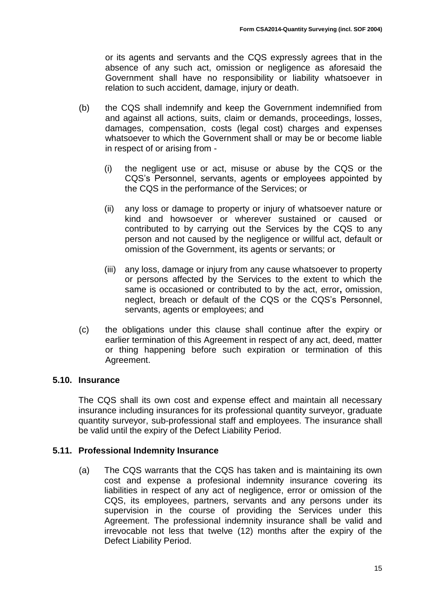or its agents and servants and the CQS expressly agrees that in the absence of any such act, omission or negligence as aforesaid the Government shall have no responsibility or liability whatsoever in relation to such accident, damage, injury or death.

- (b) the CQS shall indemnify and keep the Government indemnified from and against all actions, suits, claim or demands, proceedings, losses, damages, compensation, costs (legal cost) charges and expenses whatsoever to which the Government shall or may be or become liable in respect of or arising from -
	- (i) the negligent use or act, misuse or abuse by the CQS or the CQS's Personnel, servants, agents or employees appointed by the CQS in the performance of the Services; or
	- (ii) any loss or damage to property or injury of whatsoever nature or kind and howsoever or wherever sustained or caused or contributed to by carrying out the Services by the CQS to any person and not caused by the negligence or willful act, default or omission of the Government, its agents or servants; or
	- (iii) any loss, damage or injury from any cause whatsoever to property or persons affected by the Services to the extent to which the same is occasioned or contributed to by the act, error**,** omission, neglect, breach or default of the CQS or the CQS's Personnel, servants, agents or employees; and
- (c) the obligations under this clause shall continue after the expiry or earlier termination of this Agreement in respect of any act, deed, matter or thing happening before such expiration or termination of this Agreement.

## <span id="page-14-0"></span>**5.10. Insurance**

The CQS shall its own cost and expense effect and maintain all necessary insurance including insurances for its professional quantity surveyor, graduate quantity surveyor, sub-professional staff and employees. The insurance shall be valid until the expiry of the Defect Liability Period.

#### <span id="page-14-1"></span>**5.11. Professional Indemnity Insurance**

(a) The CQS warrants that the CQS has taken and is maintaining its own cost and expense a profesional indemnity insurance covering its liabilities in respect of any act of negligence, error or omission of the CQS, its employees, partners, servants and any persons under its supervision in the course of providing the Services under this Agreement. The professional indemnity insurance shall be valid and irrevocable not less that twelve (12) months after the expiry of the Defect Liability Period.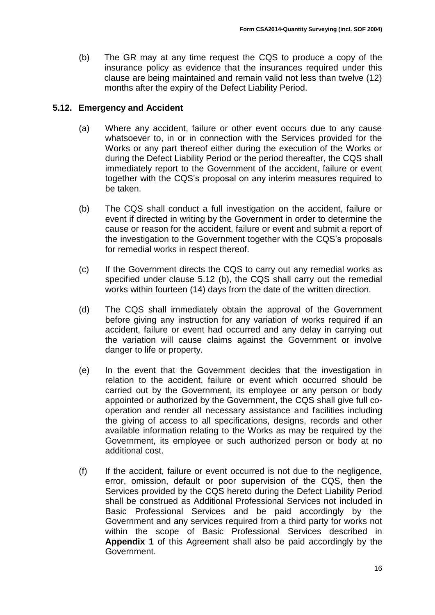(b) The GR may at any time request the CQS to produce a copy of the insurance policy as evidence that the insurances required under this clause are being maintained and remain valid not less than twelve (12) months after the expiry of the Defect Liability Period.

## <span id="page-15-0"></span>**5.12. Emergency and Accident**

- (a) Where any accident, failure or other event occurs due to any cause whatsoever to, in or in connection with the Services provided for the Works or any part thereof either during the execution of the Works or during the Defect Liability Period or the period thereafter, the CQS shall immediately report to the Government of the accident, failure or event together with the CQS's proposal on any interim measures required to be taken.
- (b) The CQS shall conduct a full investigation on the accident, failure or event if directed in writing by the Government in order to determine the cause or reason for the accident, failure or event and submit a report of the investigation to the Government together with the CQS's proposals for remedial works in respect thereof.
- (c) If the Government directs the CQS to carry out any remedial works as specified under clause 5.12 (b), the CQS shall carry out the remedial works within fourteen (14) days from the date of the written direction.
- (d) The CQS shall immediately obtain the approval of the Government before giving any instruction for any variation of works required if an accident, failure or event had occurred and any delay in carrying out the variation will cause claims against the Government or involve danger to life or property.
- (e) In the event that the Government decides that the investigation in relation to the accident, failure or event which occurred should be carried out by the Government, its employee or any person or body appointed or authorized by the Government, the CQS shall give full cooperation and render all necessary assistance and facilities including the giving of access to all specifications, designs, records and other available information relating to the Works as may be required by the Government, its employee or such authorized person or body at no additional cost.
- (f) If the accident, failure or event occurred is not due to the negligence, error, omission, default or poor supervision of the CQS, then the Services provided by the CQS hereto during the Defect Liability Period shall be construed as Additional Professional Services not included in Basic Professional Services and be paid accordingly by the Government and any services required from a third party for works not within the scope of Basic Professional Services described in **Appendix 1** of this Agreement shall also be paid accordingly by the Government.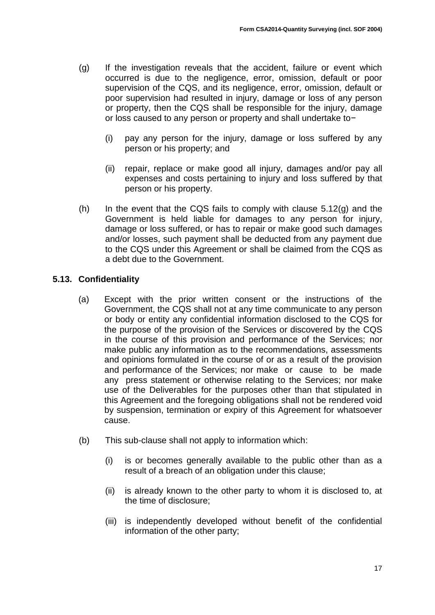- (g) If the investigation reveals that the accident, failure or event which occurred is due to the negligence, error, omission, default or poor supervision of the CQS, and its negligence, error, omission, default or poor supervision had resulted in injury, damage or loss of any person or property, then the CQS shall be responsible for the injury, damage or loss caused to any person or property and shall undertake to−
	- (i) pay any person for the injury, damage or loss suffered by any person or his property; and
	- (ii) repair, replace or make good all injury, damages and/or pay all expenses and costs pertaining to injury and loss suffered by that person or his property.
- (h) In the event that the CQS fails to comply with clause  $5.12(g)$  and the Government is held liable for damages to any person for injury, damage or loss suffered, or has to repair or make good such damages and/or losses, such payment shall be deducted from any payment due to the CQS under this Agreement or shall be claimed from the CQS as a debt due to the Government.

## <span id="page-16-0"></span>**5.13. Confidentiality**

- (a) Except with the prior written consent or the instructions of the Government, the CQS shall not at any time communicate to any person or body or entity any confidential information disclosed to the CQS for the purpose of the provision of the Services or discovered by the CQS in the course of this provision and performance of the Services; nor make public any information as to the recommendations, assessments and opinions formulated in the course of or as a result of the provision and performance of the Services; nor make or cause to be made any press statement or otherwise relating to the Services; nor make use of the Deliverables for the purposes other than that stipulated in this Agreement and the foregoing obligations shall not be rendered void by suspension, termination or expiry of this Agreement for whatsoever cause.
- (b) This sub-clause shall not apply to information which:
	- (i) is or becomes generally available to the public other than as a result of a breach of an obligation under this clause;
	- (ii) is already known to the other party to whom it is disclosed to, at the time of disclosure;
	- (iii) is independently developed without benefit of the confidential information of the other party;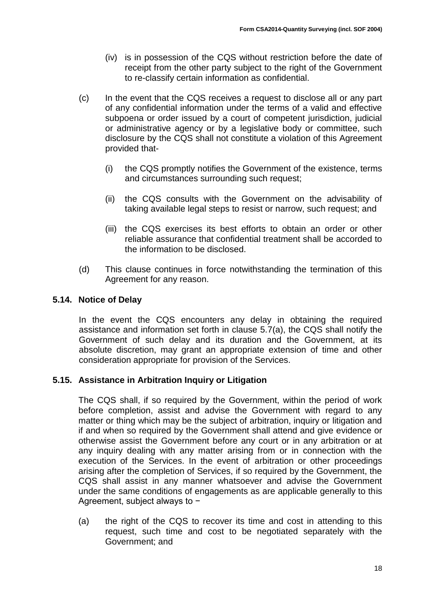- (iv) is in possession of the CQS without restriction before the date of receipt from the other party subject to the right of the Government to re-classify certain information as confidential.
- (c) In the event that the CQS receives a request to disclose all or any part of any confidential information under the terms of a valid and effective subpoena or order issued by a court of competent jurisdiction, judicial or administrative agency or by a legislative body or committee, such disclosure by the CQS shall not constitute a violation of this Agreement provided that-
	- (i) the CQS promptly notifies the Government of the existence, terms and circumstances surrounding such request;
	- (ii) the CQS consults with the Government on the advisability of taking available legal steps to resist or narrow, such request; and
	- (iii) the CQS exercises its best efforts to obtain an order or other reliable assurance that confidential treatment shall be accorded to the information to be disclosed.
- (d) This clause continues in force notwithstanding the termination of this Agreement for any reason.

## <span id="page-17-0"></span>**5.14. Notice of Delay**

In the event the CQS encounters any delay in obtaining the required assistance and information set forth in clause 5.7(a), the CQS shall notify the Government of such delay and its duration and the Government, at its absolute discretion, may grant an appropriate extension of time and other consideration appropriate for provision of the Services.

## <span id="page-17-1"></span>**5.15. Assistance in Arbitration Inquiry or Litigation**

The CQS shall, if so required by the Government, within the period of work before completion, assist and advise the Government with regard to any matter or thing which may be the subject of arbitration, inquiry or litigation and if and when so required by the Government shall attend and give evidence or otherwise assist the Government before any court or in any arbitration or at any inquiry dealing with any matter arising from or in connection with the execution of the Services. In the event of arbitration or other proceedings arising after the completion of Services, if so required by the Government, the CQS shall assist in any manner whatsoever and advise the Government under the same conditions of engagements as are applicable generally to this Agreement, subject always to −

(a) the right of the CQS to recover its time and cost in attending to this request, such time and cost to be negotiated separately with the Government; and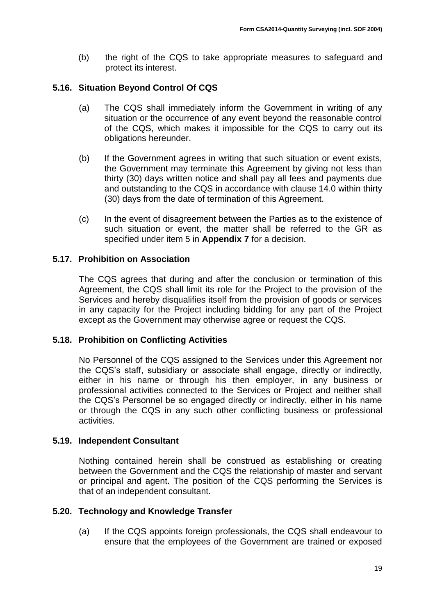(b) the right of the CQS to take appropriate measures to safeguard and protect its interest.

#### <span id="page-18-0"></span>**5.16. Situation Beyond Control Of CQS**

- (a) The CQS shall immediately inform the Government in writing of any situation or the occurrence of any event beyond the reasonable control of the CQS, which makes it impossible for the CQS to carry out its obligations hereunder.
- (b) If the Government agrees in writing that such situation or event exists, the Government may terminate this Agreement by giving not less than thirty (30) days written notice and shall pay all fees and payments due and outstanding to the CQS in accordance with clause 14.0 within thirty (30) days from the date of termination of this Agreement.
- (c) In the event of disagreement between the Parties as to the existence of such situation or event, the matter shall be referred to the GR as specified under item 5 in **Appendix 7** for a decision.

#### <span id="page-18-1"></span>**5.17. Prohibition on Association**

The CQS agrees that during and after the conclusion or termination of this Agreement, the CQS shall limit its role for the Project to the provision of the Services and hereby disqualifies itself from the provision of goods or services in any capacity for the Project including bidding for any part of the Project except as the Government may otherwise agree or request the CQS.

#### <span id="page-18-2"></span>**5.18. Prohibition on Conflicting Activities**

No Personnel of the CQS assigned to the Services under this Agreement nor the CQS's staff, subsidiary or associate shall engage, directly or indirectly, either in his name or through his then employer, in any business or professional activities connected to the Services or Project and neither shall the CQS's Personnel be so engaged directly or indirectly, either in his name or through the CQS in any such other conflicting business or professional activities.

#### <span id="page-18-3"></span>**5.19. Independent Consultant**

Nothing contained herein shall be construed as establishing or creating between the Government and the CQS the relationship of master and servant or principal and agent. The position of the CQS performing the Services is that of an independent consultant.

#### <span id="page-18-4"></span>**5.20. Technology and Knowledge Transfer**

(a) If the CQS appoints foreign professionals, the CQS shall endeavour to ensure that the employees of the Government are trained or exposed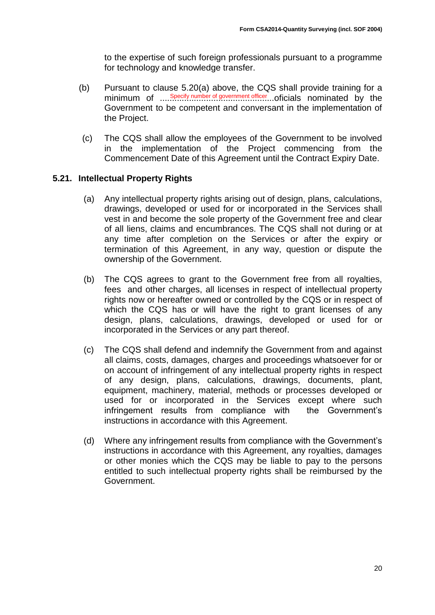to the expertise of such foreign professionals pursuant to a programme for technology and knowledge transfer.

- (b) Pursuant to clause 5.20(a) above, the CQS shall provide training for a minimum of .....<sup>Specify number of government officer</sup>....oficials nominated by the Government to be competent and conversant in the implementation of the Project.
- (c) The CQS shall allow the employees of the Government to be involved in the implementation of the Project commencing from the Commencement Date of this Agreement until the Contract Expiry Date.

#### <span id="page-19-0"></span>**5.21. Intellectual Property Rights**

- (a) Any intellectual property rights arising out of design, plans, calculations, drawings, developed or used for or incorporated in the Services shall vest in and become the sole property of the Government free and clear of all liens, claims and encumbrances. The CQS shall not during or at any time after completion on the Services or after the expiry or termination of this Agreement, in any way, question or dispute the ownership of the Government.
- (b) The CQS agrees to grant to the Government free from all royalties, fees and other charges, all licenses in respect of intellectual property rights now or hereafter owned or controlled by the CQS or in respect of which the CQS has or will have the right to grant licenses of any design, plans, calculations, drawings, developed or used for or incorporated in the Services or any part thereof.
- (c) The CQS shall defend and indemnify the Government from and against all claims, costs, damages, charges and proceedings whatsoever for or on account of infringement of any intellectual property rights in respect of any design, plans, calculations, drawings, documents, plant, equipment, machinery, material, methods or processes developed or used for or incorporated in the Services except where such infringement results from compliance with the Government's instructions in accordance with this Agreement.
- (d) Where any infringement results from compliance with the Government's instructions in accordance with this Agreement, any royalties, damages or other monies which the CQS may be liable to pay to the persons entitled to such intellectual property rights shall be reimbursed by the Government.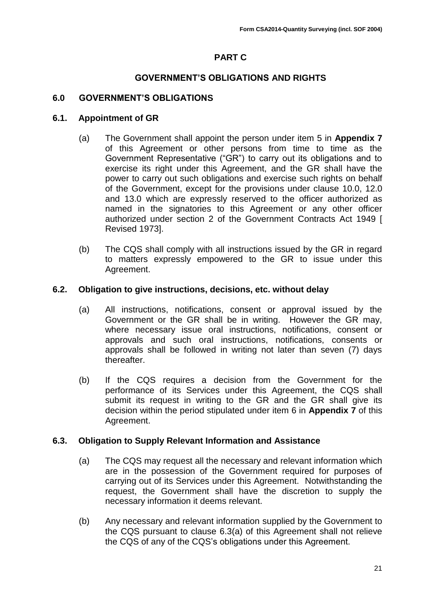## **PART C**

#### **GOVERNMENT'S OBLIGATIONS AND RIGHTS**

#### <span id="page-20-0"></span>**6.0 GOVERNMENT'S OBLIGATIONS**

#### <span id="page-20-1"></span>**6.1. Appointment of GR**

- (a) The Government shall appoint the person under item 5 in **Appendix 7** of this Agreement or other persons from time to time as the Government Representative ("GR") to carry out its obligations and to exercise its right under this Agreement, and the GR shall have the power to carry out such obligations and exercise such rights on behalf of the Government, except for the provisions under clause 10.0, 12.0 and 13.0 which are expressly reserved to the officer authorized as named in the signatories to this Agreement or any other officer authorized under section 2 of the Government Contracts Act 1949 [ Revised 1973].
- (b) The CQS shall comply with all instructions issued by the GR in regard to matters expressly empowered to the GR to issue under this Agreement.

#### <span id="page-20-2"></span>**6.2. Obligation to give instructions, decisions, etc. without delay**

- (a) All instructions, notifications, consent or approval issued by the Government or the GR shall be in writing. However the GR may, where necessary issue oral instructions, notifications, consent or approvals and such oral instructions, notifications, consents or approvals shall be followed in writing not later than seven (7) days thereafter.
- (b) If the CQS requires a decision from the Government for the performance of its Services under this Agreement, the CQS shall submit its request in writing to the GR and the GR shall give its decision within the period stipulated under item 6 in **Appendix 7** of this Agreement.

#### <span id="page-20-3"></span>**6.3. Obligation to Supply Relevant Information and Assistance**

- (a) The CQS may request all the necessary and relevant information which are in the possession of the Government required for purposes of carrying out of its Services under this Agreement. Notwithstanding the request, the Government shall have the discretion to supply the necessary information it deems relevant.
- (b) Any necessary and relevant information supplied by the Government to the CQS pursuant to clause 6.3(a) of this Agreement shall not relieve the CQS of any of the CQS's obligations under this Agreement.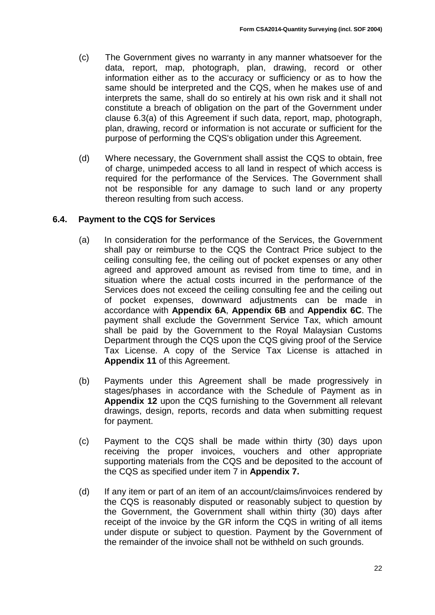- (c) The Government gives no warranty in any manner whatsoever for the data, report, map, photograph, plan, drawing, record or other information either as to the accuracy or sufficiency or as to how the same should be interpreted and the CQS, when he makes use of and interprets the same, shall do so entirely at his own risk and it shall not constitute a breach of obligation on the part of the Government under clause 6.3(a) of this Agreement if such data, report, map, photograph, plan, drawing, record or information is not accurate or sufficient for the purpose of performing the CQS's obligation under this Agreement.
- (d) Where necessary, the Government shall assist the CQS to obtain, free of charge, unimpeded access to all land in respect of which access is required for the performance of the Services. The Government shall not be responsible for any damage to such land or any property thereon resulting from such access.

## <span id="page-21-0"></span>**6.4. Payment to the CQS for Services**

- (a) In consideration for the performance of the Services, the Government shall pay or reimburse to the CQS the Contract Price subject to the ceiling consulting fee, the ceiling out of pocket expenses or any other agreed and approved amount as revised from time to time, and in situation where the actual costs incurred in the performance of the Services does not exceed the ceiling consulting fee and the ceiling out of pocket expenses, downward adjustments can be made in accordance with **Appendix 6A**, **Appendix 6B** and **Appendix 6C**. The payment shall exclude the Government Service Tax, which amount shall be paid by the Government to the Royal Malaysian Customs Department through the CQS upon the CQS giving proof of the Service Tax License. A copy of the Service Tax License is attached in **Appendix 11** of this Agreement.
- (b) Payments under this Agreement shall be made progressively in stages/phases in accordance with the Schedule of Payment as in **Appendix 12** upon the CQS furnishing to the Government all relevant drawings, design, reports, records and data when submitting request for payment.
- (c) Payment to the CQS shall be made within thirty (30) days upon receiving the proper invoices, vouchers and other appropriate supporting materials from the CQS and be deposited to the account of the CQS as specified under item 7 in **Appendix 7.**
- (d) If any item or part of an item of an account/claims/invoices rendered by the CQS is reasonably disputed or reasonably subject to question by the Government, the Government shall within thirty (30) days after receipt of the invoice by the GR inform the CQS in writing of all items under dispute or subject to question. Payment by the Government of the remainder of the invoice shall not be withheld on such grounds.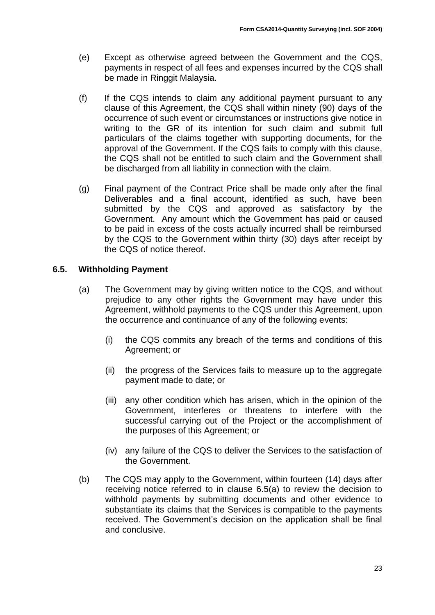- (e) Except as otherwise agreed between the Government and the CQS, payments in respect of all fees and expenses incurred by the CQS shall be made in Ringgit Malaysia.
- (f) If the CQS intends to claim any additional payment pursuant to any clause of this Agreement, the CQS shall within ninety (90) days of the occurrence of such event or circumstances or instructions give notice in writing to the GR of its intention for such claim and submit full particulars of the claims together with supporting documents, for the approval of the Government. If the CQS fails to comply with this clause, the CQS shall not be entitled to such claim and the Government shall be discharged from all liability in connection with the claim.
- (g) Final payment of the Contract Price shall be made only after the final Deliverables and a final account, identified as such, have been submitted by the CQS and approved as satisfactory by the Government. Any amount which the Government has paid or caused to be paid in excess of the costs actually incurred shall be reimbursed by the CQS to the Government within thirty (30) days after receipt by the CQS of notice thereof.

## <span id="page-22-0"></span>**6.5. Withholding Payment**

- (a) The Government may by giving written notice to the CQS, and without prejudice to any other rights the Government may have under this Agreement, withhold payments to the CQS under this Agreement, upon the occurrence and continuance of any of the following events:
	- (i) the CQS commits any breach of the terms and conditions of this Agreement; or
	- (ii) the progress of the Services fails to measure up to the aggregate payment made to date; or
	- (iii) any other condition which has arisen, which in the opinion of the Government, interferes or threatens to interfere with the successful carrying out of the Project or the accomplishment of the purposes of this Agreement; or
	- (iv) any failure of the CQS to deliver the Services to the satisfaction of the Government.
- (b) The CQS may apply to the Government, within fourteen (14) days after receiving notice referred to in clause 6.5(a) to review the decision to withhold payments by submitting documents and other evidence to substantiate its claims that the Services is compatible to the payments received. The Government's decision on the application shall be final and conclusive.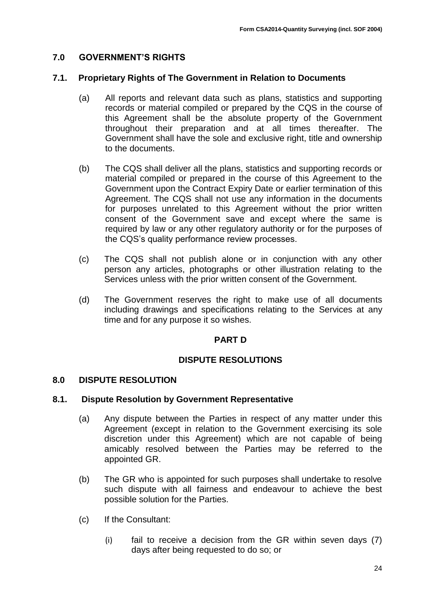## <span id="page-23-0"></span>**7.0 GOVERNMENT'S RIGHTS**

#### <span id="page-23-1"></span>**7.1. Proprietary Rights of The Government in Relation to Documents**

- (a) All reports and relevant data such as plans, statistics and supporting records or material compiled or prepared by the CQS in the course of this Agreement shall be the absolute property of the Government throughout their preparation and at all times thereafter. The Government shall have the sole and exclusive right, title and ownership to the documents.
- (b) The CQS shall deliver all the plans, statistics and supporting records or material compiled or prepared in the course of this Agreement to the Government upon the Contract Expiry Date or earlier termination of this Agreement. The CQS shall not use any information in the documents for purposes unrelated to this Agreement without the prior written consent of the Government save and except where the same is required by law or any other regulatory authority or for the purposes of the CQS's quality performance review processes.
- (c) The CQS shall not publish alone or in conjunction with any other person any articles, photographs or other illustration relating to the Services unless with the prior written consent of the Government.
- (d) The Government reserves the right to make use of all documents including drawings and specifications relating to the Services at any time and for any purpose it so wishes.

#### **PART D**

#### **DISPUTE RESOLUTIONS**

#### <span id="page-23-2"></span>**8.0 DISPUTE RESOLUTION**

#### <span id="page-23-3"></span>**8.1. Dispute Resolution by Government Representative**

- (a) Any dispute between the Parties in respect of any matter under this Agreement (except in relation to the Government exercising its sole discretion under this Agreement) which are not capable of being amicably resolved between the Parties may be referred to the appointed GR.
- (b) The GR who is appointed for such purposes shall undertake to resolve such dispute with all fairness and endeavour to achieve the best possible solution for the Parties.
- (c) If the Consultant:
	- (i) fail to receive a decision from the GR within seven days (7) days after being requested to do so; or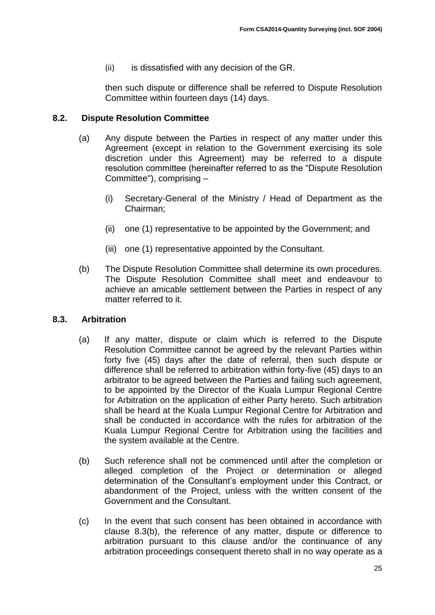(ii) is dissatisfied with any decision of the GR.

then such dispute or difference shall be referred to Dispute Resolution Committee within fourteen days (14) days.

## <span id="page-24-0"></span>**8.2. Dispute Resolution Committee**

- (a) Any dispute between the Parties in respect of any matter under this Agreement (except in relation to the Government exercising its sole discretion under this Agreement) may be referred to a dispute resolution committee (hereinafter referred to as the "Dispute Resolution Committee"), comprising –
	- (i) Secretary-General of the Ministry / Head of Department as the Chairman;
	- (ii) one (1) representative to be appointed by the Government; and
	- (iii) one (1) representative appointed by the Consultant.
- (b) The Dispute Resolution Committee shall determine its own procedures. The Dispute Resolution Committee shall meet and endeavour to achieve an amicable settlement between the Parties in respect of any matter referred to it.

#### <span id="page-24-1"></span>**8.3. Arbitration**

- (a) If any matter, dispute or claim which is referred to the Dispute Resolution Committee cannot be agreed by the relevant Parties within forty five (45) days after the date of referral, then such dispute or difference shall be referred to arbitration within forty-five (45) days to an arbitrator to be agreed between the Parties and failing such agreement, to be appointed by the Director of the Kuala Lumpur Regional Centre for Arbitration on the application of either Party hereto. Such arbitration shall be heard at the Kuala Lumpur Regional Centre for Arbitration and shall be conducted in accordance with the rules for arbitration of the Kuala Lumpur Regional Centre for Arbitration using the facilities and the system available at the Centre.
- (b) Such reference shall not be commenced until after the completion or alleged completion of the Project or determination or alleged determination of the Consultant's employment under this Contract, or abandonment of the Project, unless with the written consent of the Government and the Consultant.
- (c) In the event that such consent has been obtained in accordance with clause 8.3(b), the reference of any matter, dispute or difference to arbitration pursuant to this clause and/or the continuance of any arbitration proceedings consequent thereto shall in no way operate as a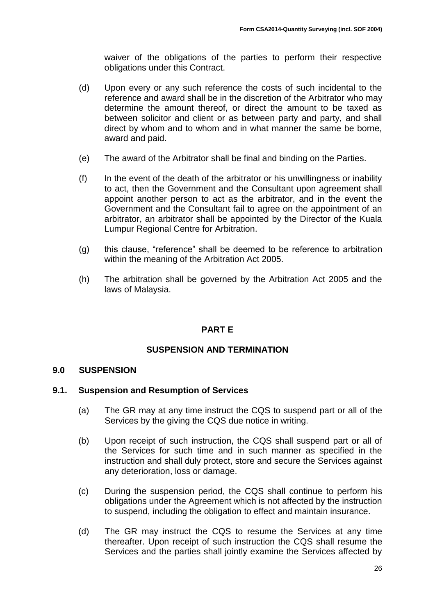waiver of the obligations of the parties to perform their respective obligations under this Contract.

- (d) Upon every or any such reference the costs of such incidental to the reference and award shall be in the discretion of the Arbitrator who may determine the amount thereof, or direct the amount to be taxed as between solicitor and client or as between party and party, and shall direct by whom and to whom and in what manner the same be borne, award and paid.
- (e) The award of the Arbitrator shall be final and binding on the Parties.
- (f) In the event of the death of the arbitrator or his unwillingness or inability to act, then the Government and the Consultant upon agreement shall appoint another person to act as the arbitrator, and in the event the Government and the Consultant fail to agree on the appointment of an arbitrator, an arbitrator shall be appointed by the Director of the Kuala Lumpur Regional Centre for Arbitration.
- (g) this clause, "reference" shall be deemed to be reference to arbitration within the meaning of the Arbitration Act 2005.
- (h) The arbitration shall be governed by the Arbitration Act 2005 and the laws of Malaysia.

## **PART E**

## **SUSPENSION AND TERMINATION**

#### <span id="page-25-0"></span>**9.0 SUSPENSION**

#### <span id="page-25-1"></span>**9.1. Suspension and Resumption of Services**

- (a) The GR may at any time instruct the CQS to suspend part or all of the Services by the giving the CQS due notice in writing.
- (b) Upon receipt of such instruction, the CQS shall suspend part or all of the Services for such time and in such manner as specified in the instruction and shall duly protect, store and secure the Services against any deterioration, loss or damage.
- (c) During the suspension period, the CQS shall continue to perform his obligations under the Agreement which is not affected by the instruction to suspend, including the obligation to effect and maintain insurance.
- (d) The GR may instruct the CQS to resume the Services at any time thereafter. Upon receipt of such instruction the CQS shall resume the Services and the parties shall jointly examine the Services affected by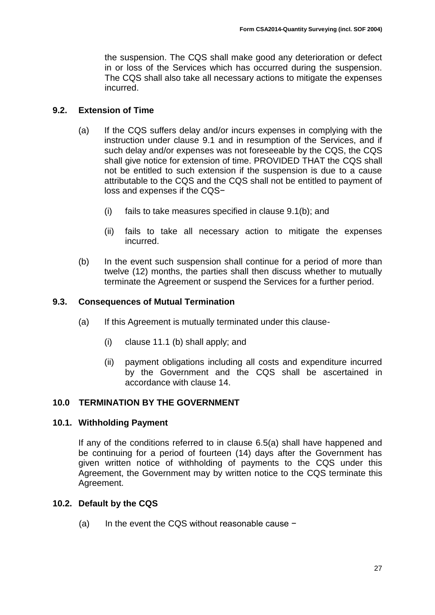the suspension. The CQS shall make good any deterioration or defect in or loss of the Services which has occurred during the suspension. The CQS shall also take all necessary actions to mitigate the expenses incurred.

### <span id="page-26-0"></span>**9.2. Extension of Time**

- (a) If the CQS suffers delay and/or incurs expenses in complying with the instruction under clause 9.1 and in resumption of the Services, and if such delay and/or expenses was not foreseeable by the CQS, the CQS shall give notice for extension of time. PROVIDED THAT the CQS shall not be entitled to such extension if the suspension is due to a cause attributable to the CQS and the CQS shall not be entitled to payment of loss and expenses if the CQS−
	- (i) fails to take measures specified in clause 9.1(b); and
	- (ii) fails to take all necessary action to mitigate the expenses incurred.
- (b) In the event such suspension shall continue for a period of more than twelve (12) months, the parties shall then discuss whether to mutually terminate the Agreement or suspend the Services for a further period.

#### <span id="page-26-1"></span>**9.3. Consequences of Mutual Termination**

- (a) If this Agreement is mutually terminated under this clause-
	- (i) clause 11.1 (b) shall apply; and
	- (ii) payment obligations including all costs and expenditure incurred by the Government and the CQS shall be ascertained in accordance with clause 14.

## <span id="page-26-2"></span>**10.0 TERMINATION BY THE GOVERNMENT**

#### <span id="page-26-3"></span>**10.1. Withholding Payment**

If any of the conditions referred to in clause 6.5(a) shall have happened and be continuing for a period of fourteen (14) days after the Government has given written notice of withholding of payments to the CQS under this Agreement, the Government may by written notice to the CQS terminate this Agreement.

#### <span id="page-26-4"></span>**10.2. Default by the CQS**

(a) In the event the CQS without reasonable cause −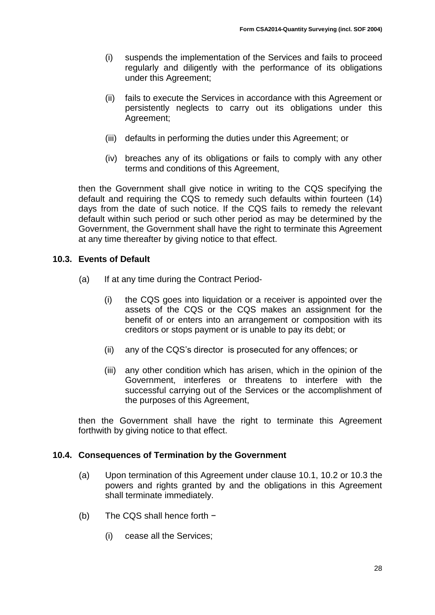- (i) suspends the implementation of the Services and fails to proceed regularly and diligently with the performance of its obligations under this Agreement;
- (ii) fails to execute the Services in accordance with this Agreement or persistently neglects to carry out its obligations under this Agreement;
- (iii) defaults in performing the duties under this Agreement; or
- (iv) breaches any of its obligations or fails to comply with any other terms and conditions of this Agreement,

then the Government shall give notice in writing to the CQS specifying the default and requiring the CQS to remedy such defaults within fourteen (14) days from the date of such notice. If the CQS fails to remedy the relevant default within such period or such other period as may be determined by the Government, the Government shall have the right to terminate this Agreement at any time thereafter by giving notice to that effect.

## <span id="page-27-0"></span>**10.3. Events of Default**

- (a) If at any time during the Contract Period-
	- (i) the CQS goes into liquidation or a receiver is appointed over the assets of the CQS or the CQS makes an assignment for the benefit of or enters into an arrangement or composition with its creditors or stops payment or is unable to pay its debt; or
	- (ii) any of the CQS's director is prosecuted for any offences; or
	- (iii) any other condition which has arisen, which in the opinion of the Government, interferes or threatens to interfere with the successful carrying out of the Services or the accomplishment of the purposes of this Agreement,

then the Government shall have the right to terminate this Agreement forthwith by giving notice to that effect.

#### <span id="page-27-1"></span>**10.4. Consequences of Termination by the Government**

- (a) Upon termination of this Agreement under clause 10.1, 10.2 or 10.3 the powers and rights granted by and the obligations in this Agreement shall terminate immediately.
- (b) The CQS shall hence forth −
	- (i) cease all the Services;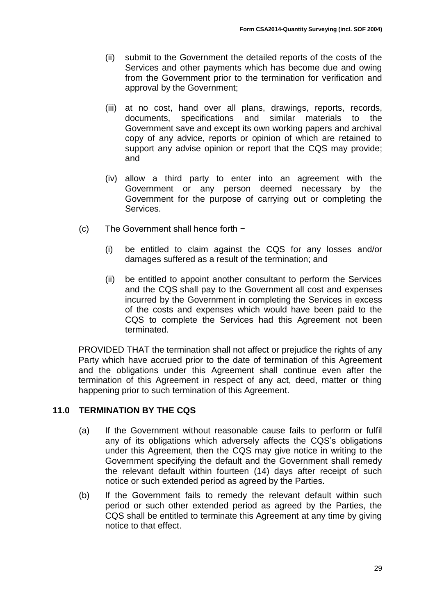- (ii) submit to the Government the detailed reports of the costs of the Services and other payments which has become due and owing from the Government prior to the termination for verification and approval by the Government;
- (iii) at no cost, hand over all plans, drawings, reports, records, documents, specifications and similar materials to the Government save and except its own working papers and archival copy of any advice, reports or opinion of which are retained to support any advise opinion or report that the CQS may provide; and
- (iv) allow a third party to enter into an agreement with the Government or any person deemed necessary by the Government for the purpose of carrying out or completing the Services.
- (c) The Government shall hence forth −
	- (i) be entitled to claim against the CQS for any losses and/or damages suffered as a result of the termination; and
	- (ii) be entitled to appoint another consultant to perform the Services and the CQS shall pay to the Government all cost and expenses incurred by the Government in completing the Services in excess of the costs and expenses which would have been paid to the CQS to complete the Services had this Agreement not been terminated.

PROVIDED THAT the termination shall not affect or prejudice the rights of any Party which have accrued prior to the date of termination of this Agreement and the obligations under this Agreement shall continue even after the termination of this Agreement in respect of any act, deed, matter or thing happening prior to such termination of this Agreement.

## <span id="page-28-0"></span>**11.0 TERMINATION BY THE CQS**

- (a) If the Government without reasonable cause fails to perform or fulfil any of its obligations which adversely affects the CQS's obligations under this Agreement, then the CQS may give notice in writing to the Government specifying the default and the Government shall remedy the relevant default within fourteen (14) days after receipt of such notice or such extended period as agreed by the Parties.
- (b) If the Government fails to remedy the relevant default within such period or such other extended period as agreed by the Parties, the CQS shall be entitled to terminate this Agreement at any time by giving notice to that effect.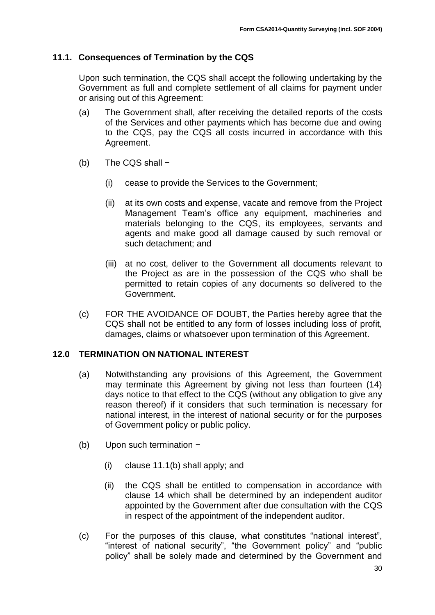## <span id="page-29-0"></span>**11.1. Consequences of Termination by the CQS**

Upon such termination, the CQS shall accept the following undertaking by the Government as full and complete settlement of all claims for payment under or arising out of this Agreement:

- (a) The Government shall, after receiving the detailed reports of the costs of the Services and other payments which has become due and owing to the CQS, pay the CQS all costs incurred in accordance with this Agreement.
- (b) The CQS shall −
	- (i) cease to provide the Services to the Government;
	- (ii) at its own costs and expense, vacate and remove from the Project Management Team's office any equipment, machineries and materials belonging to the CQS, its employees, servants and agents and make good all damage caused by such removal or such detachment; and
	- (iii) at no cost, deliver to the Government all documents relevant to the Project as are in the possession of the CQS who shall be permitted to retain copies of any documents so delivered to the Government.
- (c) FOR THE AVOIDANCE OF DOUBT, the Parties hereby agree that the CQS shall not be entitled to any form of losses including loss of profit, damages, claims or whatsoever upon termination of this Agreement.

## <span id="page-29-1"></span>**12.0 TERMINATION ON NATIONAL INTEREST**

- (a) Notwithstanding any provisions of this Agreement, the Government may terminate this Agreement by giving not less than fourteen (14) days notice to that effect to the CQS (without any obligation to give any reason thereof) if it considers that such termination is necessary for national interest, in the interest of national security or for the purposes of Government policy or public policy.
- (b) Upon such termination −
	- (i) clause 11.1(b) shall apply; and
	- (ii) the CQS shall be entitled to compensation in accordance with clause 14 which shall be determined by an independent auditor appointed by the Government after due consultation with the CQS in respect of the appointment of the independent auditor.
- (c) For the purposes of this clause, what constitutes "national interest", "interest of national security", "the Government policy" and "public policy" shall be solely made and determined by the Government and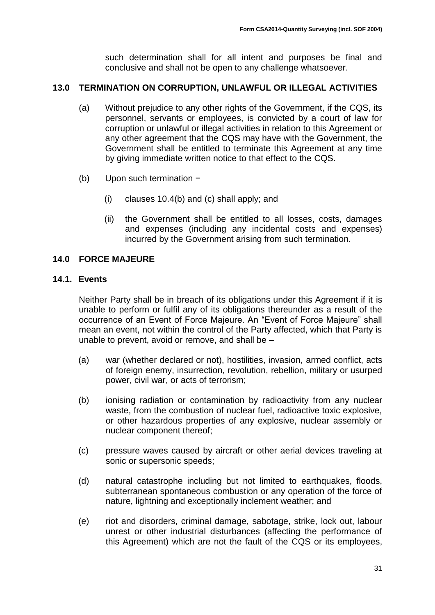such determination shall for all intent and purposes be final and conclusive and shall not be open to any challenge whatsoever.

## <span id="page-30-0"></span>**13.0 TERMINATION ON CORRUPTION, UNLAWFUL OR ILLEGAL ACTIVITIES**

- (a) Without prejudice to any other rights of the Government, if the CQS, its personnel, servants or employees, is convicted by a court of law for corruption or unlawful or illegal activities in relation to this Agreement or any other agreement that the CQS may have with the Government, the Government shall be entitled to terminate this Agreement at any time by giving immediate written notice to that effect to the CQS.
- (b) Upon such termination −
	- (i) clauses 10.4(b) and (c) shall apply; and
	- (ii) the Government shall be entitled to all losses, costs, damages and expenses (including any incidental costs and expenses) incurred by the Government arising from such termination.

## <span id="page-30-1"></span>**14.0 FORCE MAJEURE**

#### <span id="page-30-2"></span>**14.1. Events**

Neither Party shall be in breach of its obligations under this Agreement if it is unable to perform or fulfil any of its obligations thereunder as a result of the occurrence of an Event of Force Majeure. An "Event of Force Majeure" shall mean an event, not within the control of the Party affected, which that Party is unable to prevent, avoid or remove, and shall be –

- (a) war (whether declared or not), hostilities, invasion, armed conflict, acts of foreign enemy, insurrection, revolution, rebellion, military or usurped power, civil war, or acts of terrorism;
- (b) ionising radiation or contamination by radioactivity from any nuclear waste, from the combustion of nuclear fuel, radioactive toxic explosive, or other hazardous properties of any explosive, nuclear assembly or nuclear component thereof;
- (c) pressure waves caused by aircraft or other aerial devices traveling at sonic or supersonic speeds;
- (d) natural catastrophe including but not limited to earthquakes, floods, subterranean spontaneous combustion or any operation of the force of nature, lightning and exceptionally inclement weather; and
- (e) riot and disorders, criminal damage, sabotage, strike, lock out, labour unrest or other industrial disturbances (affecting the performance of this Agreement) which are not the fault of the CQS or its employees,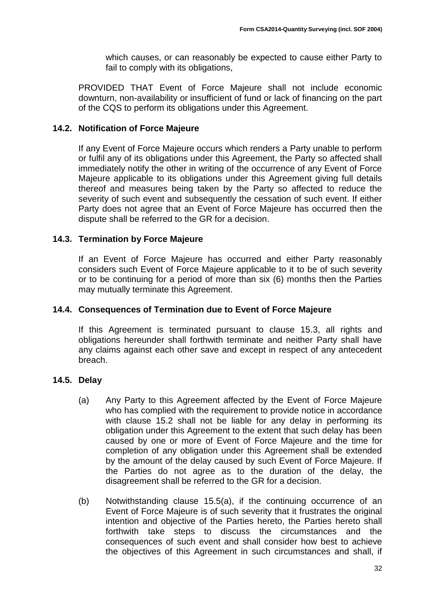which causes, or can reasonably be expected to cause either Party to fail to comply with its obligations,

PROVIDED THAT Event of Force Majeure shall not include economic downturn, non-availability or insufficient of fund or lack of financing on the part of the CQS to perform its obligations under this Agreement.

## <span id="page-31-0"></span>**14.2. Notification of Force Majeure**

If any Event of Force Majeure occurs which renders a Party unable to perform or fulfil any of its obligations under this Agreement, the Party so affected shall immediately notify the other in writing of the occurrence of any Event of Force Majeure applicable to its obligations under this Agreement giving full details thereof and measures being taken by the Party so affected to reduce the severity of such event and subsequently the cessation of such event. If either Party does not agree that an Event of Force Majeure has occurred then the dispute shall be referred to the GR for a decision.

## <span id="page-31-1"></span>**14.3. Termination by Force Majeure**

If an Event of Force Majeure has occurred and either Party reasonably considers such Event of Force Majeure applicable to it to be of such severity or to be continuing for a period of more than six (6) months then the Parties may mutually terminate this Agreement.

### <span id="page-31-2"></span>**14.4. Consequences of Termination due to Event of Force Majeure**

If this Agreement is terminated pursuant to clause 15.3, all rights and obligations hereunder shall forthwith terminate and neither Party shall have any claims against each other save and except in respect of any antecedent breach.

#### <span id="page-31-3"></span>**14.5. Delay**

- (a) Any Party to this Agreement affected by the Event of Force Majeure who has complied with the requirement to provide notice in accordance with clause 15.2 shall not be liable for any delay in performing its obligation under this Agreement to the extent that such delay has been caused by one or more of Event of Force Majeure and the time for completion of any obligation under this Agreement shall be extended by the amount of the delay caused by such Event of Force Majeure. If the Parties do not agree as to the duration of the delay, the disagreement shall be referred to the GR for a decision.
- (b) Notwithstanding clause 15.5(a), if the continuing occurrence of an Event of Force Majeure is of such severity that it frustrates the original intention and objective of the Parties hereto, the Parties hereto shall forthwith take steps to discuss the circumstances and the consequences of such event and shall consider how best to achieve the objectives of this Agreement in such circumstances and shall, if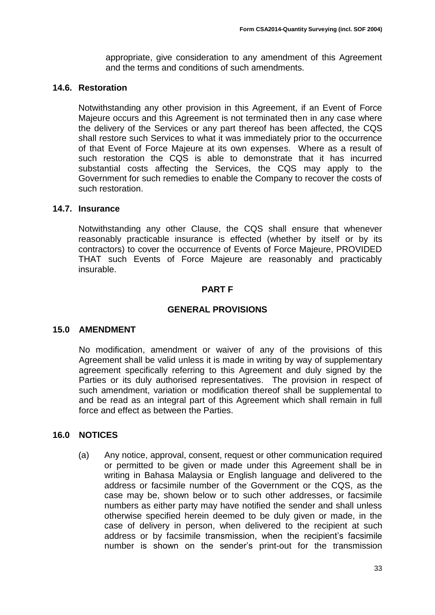appropriate, give consideration to any amendment of this Agreement and the terms and conditions of such amendments.

### <span id="page-32-0"></span>**14.6. Restoration**

Notwithstanding any other provision in this Agreement, if an Event of Force Majeure occurs and this Agreement is not terminated then in any case where the delivery of the Services or any part thereof has been affected, the CQS shall restore such Services to what it was immediately prior to the occurrence of that Event of Force Majeure at its own expenses. Where as a result of such restoration the CQS is able to demonstrate that it has incurred substantial costs affecting the Services, the CQS may apply to the Government for such remedies to enable the Company to recover the costs of such restoration.

## <span id="page-32-1"></span>**14.7. Insurance**

Notwithstanding any other Clause, the CQS shall ensure that whenever reasonably practicable insurance is effected (whether by itself or by its contractors) to cover the occurrence of Events of Force Majeure, PROVIDED THAT such Events of Force Majeure are reasonably and practicably insurable.

## **PART F**

## **GENERAL PROVISIONS**

#### <span id="page-32-2"></span>**15.0 AMENDMENT**

No modification, amendment or waiver of any of the provisions of this Agreement shall be valid unless it is made in writing by way of supplementary agreement specifically referring to this Agreement and duly signed by the Parties or its duly authorised representatives. The provision in respect of such amendment, variation or modification thereof shall be supplemental to and be read as an integral part of this Agreement which shall remain in full force and effect as between the Parties.

#### <span id="page-32-3"></span>**16.0 NOTICES**

(a) Any notice, approval, consent, request or other communication required or permitted to be given or made under this Agreement shall be in writing in Bahasa Malaysia or English language and delivered to the address or facsimile number of the Government or the CQS, as the case may be, shown below or to such other addresses, or facsimile numbers as either party may have notified the sender and shall unless otherwise specified herein deemed to be duly given or made, in the case of delivery in person, when delivered to the recipient at such address or by facsimile transmission, when the recipient's facsimile number is shown on the sender's print-out for the transmission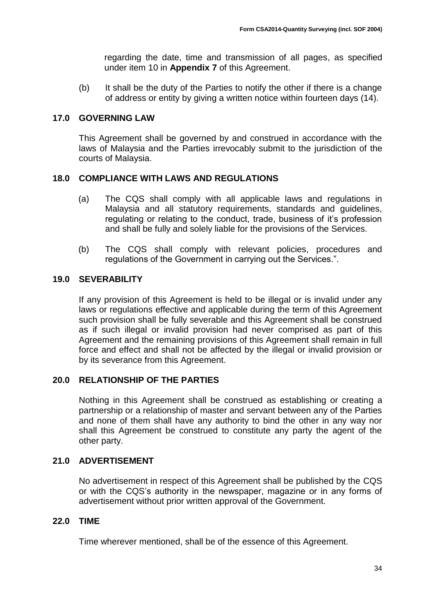regarding the date, time and transmission of all pages, as specified under item 10 in **Appendix 7** of this Agreement.

(b) It shall be the duty of the Parties to notify the other if there is a change of address or entity by giving a written notice within fourteen days (14).

### <span id="page-33-0"></span>**17.0 GOVERNING LAW**

This Agreement shall be governed by and construed in accordance with the laws of Malaysia and the Parties irrevocably submit to the jurisdiction of the courts of Malaysia.

## <span id="page-33-1"></span>**18.0 COMPLIANCE WITH LAWS AND REGULATIONS**

- (a) The CQS shall comply with all applicable laws and regulations in Malaysia and all statutory requirements, standards and guidelines, regulating or relating to the conduct, trade, business of it's profession and shall be fully and solely liable for the provisions of the Services.
- (b) The CQS shall comply with relevant policies, procedures and regulations of the Government in carrying out the Services.".

## <span id="page-33-2"></span>**19.0 SEVERABILITY**

If any provision of this Agreement is held to be illegal or is invalid under any laws or regulations effective and applicable during the term of this Agreement such provision shall be fully severable and this Agreement shall be construed as if such illegal or invalid provision had never comprised as part of this Agreement and the remaining provisions of this Agreement shall remain in full force and effect and shall not be affected by the illegal or invalid provision or by its severance from this Agreement.

## <span id="page-33-3"></span>**20.0 RELATIONSHIP OF THE PARTIES**

Nothing in this Agreement shall be construed as establishing or creating a partnership or a relationship of master and servant between any of the Parties and none of them shall have any authority to bind the other in any way nor shall this Agreement be construed to constitute any party the agent of the other party.

## <span id="page-33-4"></span>**21.0 ADVERTISEMENT**

No advertisement in respect of this Agreement shall be published by the CQS or with the CQS's authority in the newspaper, magazine or in any forms of advertisement without prior written approval of the Government.

#### <span id="page-33-5"></span>**22.0 TIME**

Time wherever mentioned, shall be of the essence of this Agreement.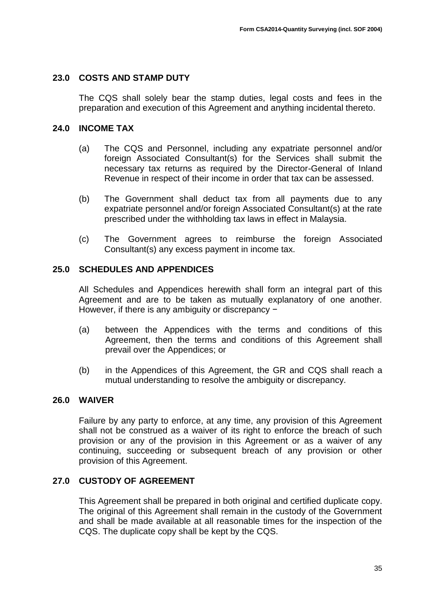### <span id="page-34-0"></span>**23.0 COSTS AND STAMP DUTY**

The CQS shall solely bear the stamp duties, legal costs and fees in the preparation and execution of this Agreement and anything incidental thereto.

#### <span id="page-34-1"></span>**24.0 INCOME TAX**

- (a) The CQS and Personnel, including any expatriate personnel and/or foreign Associated Consultant(s) for the Services shall submit the necessary tax returns as required by the Director-General of Inland Revenue in respect of their income in order that tax can be assessed.
- (b) The Government shall deduct tax from all payments due to any expatriate personnel and/or foreign Associated Consultant(s) at the rate prescribed under the withholding tax laws in effect in Malaysia.
- (c) The Government agrees to reimburse the foreign Associated Consultant(s) any excess payment in income tax.

#### <span id="page-34-2"></span>**25.0 SCHEDULES AND APPENDICES**

All Schedules and Appendices herewith shall form an integral part of this Agreement and are to be taken as mutually explanatory of one another. However, if there is any ambiguity or discrepancy −

- (a) between the Appendices with the terms and conditions of this Agreement, then the terms and conditions of this Agreement shall prevail over the Appendices; or
- (b) in the Appendices of this Agreement, the GR and CQS shall reach a mutual understanding to resolve the ambiguity or discrepancy.

#### <span id="page-34-3"></span>**26.0 WAIVER**

Failure by any party to enforce, at any time, any provision of this Agreement shall not be construed as a waiver of its right to enforce the breach of such provision or any of the provision in this Agreement or as a waiver of any continuing, succeeding or subsequent breach of any provision or other provision of this Agreement.

#### <span id="page-34-4"></span>**27.0 CUSTODY OF AGREEMENT**

This Agreement shall be prepared in both original and certified duplicate copy. The original of this Agreement shall remain in the custody of the Government and shall be made available at all reasonable times for the inspection of the CQS. The duplicate copy shall be kept by the CQS.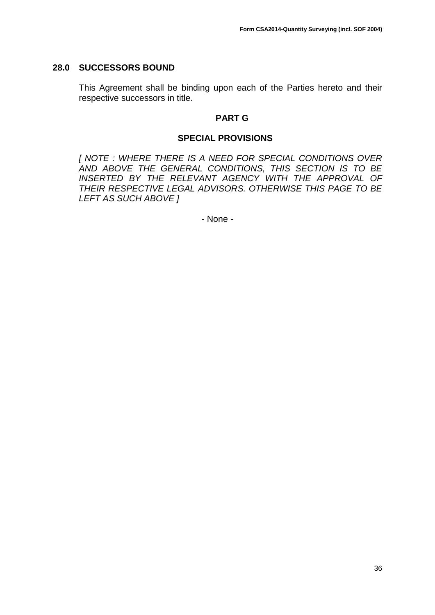#### <span id="page-35-0"></span>**28.0 SUCCESSORS BOUND**

This Agreement shall be binding upon each of the Parties hereto and their respective successors in title.

#### **PART G**

#### **SPECIAL PROVISIONS**

<span id="page-35-1"></span>*[ NOTE : WHERE THERE IS A NEED FOR SPECIAL CONDITIONS OVER AND ABOVE THE GENERAL CONDITIONS, THIS SECTION IS TO BE INSERTED BY THE RELEVANT AGENCY WITH THE APPROVAL OF THEIR RESPECTIVE LEGAL ADVISORS. OTHERWISE THIS PAGE TO BE LEFT AS SUCH ABOVE ]*

- None -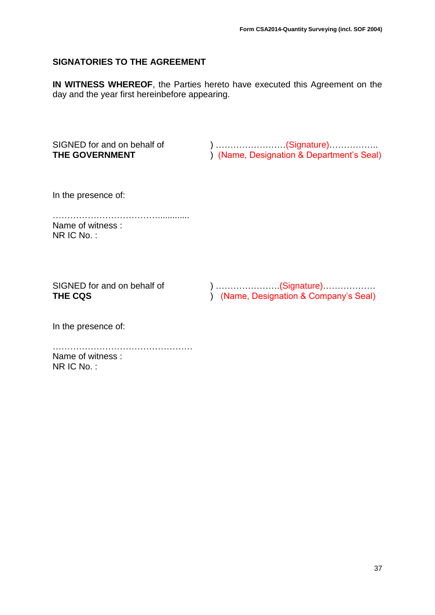## <span id="page-36-0"></span>**SIGNATORIES TO THE AGREEMENT**

**IN WITNESS WHEREOF**, the Parties hereto have executed this Agreement on the day and the year first hereinbefore appearing.

SIGNED for and on behalf of  $\hspace{1cm}$ ) ……………………(Signature)…………… **THE GOVERNMENT** ) (Name, Designation & Department's Seal)

In the presence of:

………………………………............. Name of witness : NR IC No. :

SIGNED for and on behalf of  $\hspace{1cm}$  ) ……………………(Signature)……………… **THE CQS** ) (Name, Designation & Company's Seal)

In the presence of:

………………………………………… Name of witness : NR IC No. :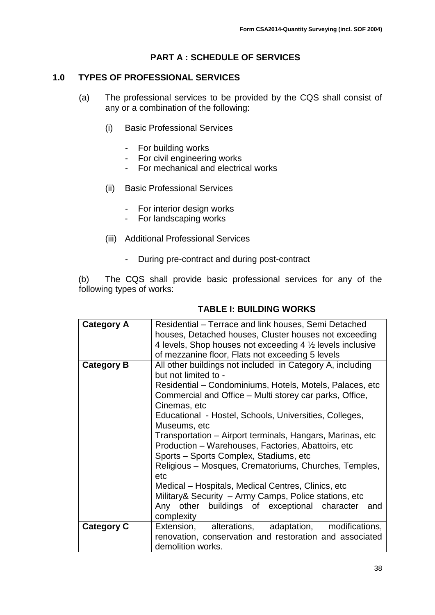## **PART A : SCHEDULE OF SERVICES**

#### <span id="page-37-1"></span><span id="page-37-0"></span>**1.0 TYPES OF PROFESSIONAL SERVICES**

- (a) The professional services to be provided by the CQS shall consist of any or a combination of the following:
	- (i) Basic Professional Services
		- For building works
		- For civil engineering works
		- For mechanical and electrical works
	- (ii) Basic Professional Services
		- For interior design works
		- For landscaping works
	- (iii) Additional Professional Services
		- During pre-contract and during post-contract

(b) The CQS shall provide basic professional services for any of the following types of works:

| <b>Category A</b> | Residential – Terrace and link houses, Semi Detached                                                                |  |  |
|-------------------|---------------------------------------------------------------------------------------------------------------------|--|--|
|                   | houses, Detached houses, Cluster houses not exceeding                                                               |  |  |
|                   | 4 levels, Shop houses not exceeding $4\frac{1}{2}$ levels inclusive                                                 |  |  |
|                   | of mezzanine floor, Flats not exceeding 5 levels                                                                    |  |  |
| <b>Category B</b> | All other buildings not included in Category A, including<br>but not limited to -                                   |  |  |
|                   | Residential - Condominiums, Hotels, Motels, Palaces, etc<br>Commercial and Office – Multi storey car parks, Office, |  |  |
|                   | Cinemas, etc                                                                                                        |  |  |
|                   | Educational - Hostel, Schools, Universities, Colleges,                                                              |  |  |
|                   | Museums, etc                                                                                                        |  |  |
|                   | Transportation – Airport terminals, Hangars, Marinas, etc.                                                          |  |  |
|                   | Production - Warehouses, Factories, Abattoirs, etc                                                                  |  |  |
|                   | Sports - Sports Complex, Stadiums, etc                                                                              |  |  |
|                   | Religious – Mosques, Crematoriums, Churches, Temples,                                                               |  |  |
|                   | etc                                                                                                                 |  |  |
|                   | Medical – Hospitals, Medical Centres, Clinics, etc.                                                                 |  |  |
|                   | Military& Security – Army Camps, Police stations, etc.                                                              |  |  |
|                   | Any other buildings of exceptional character<br>and<br>complexity                                                   |  |  |
| <b>Category C</b> | alterations, adaptation, modifications,<br>Extension,                                                               |  |  |
|                   | renovation, conservation and restoration and associated                                                             |  |  |
|                   | demolition works.                                                                                                   |  |  |

#### **TABLE I: BUILDING WORKS**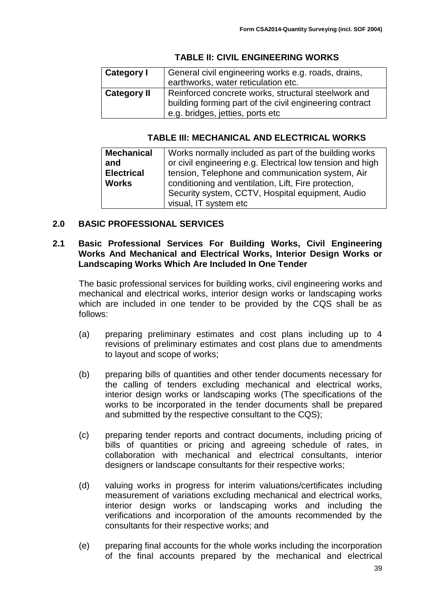## **TABLE II: CIVIL ENGINEERING WORKS**

| Category I         | General civil engineering works e.g. roads, drains,<br>earthworks, water reticulation etc.                                                         |
|--------------------|----------------------------------------------------------------------------------------------------------------------------------------------------|
| <b>Category II</b> | Reinforced concrete works, structural steelwork and<br>building forming part of the civil engineering contract<br>e.g. bridges, jetties, ports etc |

### **TABLE III: MECHANICAL AND ELECTRICAL WORKS**

| <b>Mechanical</b> | Works normally included as part of the building works     |  |  |
|-------------------|-----------------------------------------------------------|--|--|
| and               | or civil engineering e.g. Electrical low tension and high |  |  |
| <b>Electrical</b> | tension, Telephone and communication system, Air          |  |  |
| <b>Works</b>      | conditioning and ventilation, Lift, Fire protection,      |  |  |
|                   | Security system, CCTV, Hospital equipment, Audio          |  |  |
|                   | visual, IT system etc                                     |  |  |

## <span id="page-38-0"></span>**2.0 BASIC PROFESSIONAL SERVICES**

#### <span id="page-38-1"></span>**2.1 Basic Professional Services For Building Works, Civil Engineering Works And Mechanical and Electrical Works, Interior Design Works or Landscaping Works Which Are Included In One Tender**

The basic professional services for building works, civil engineering works and mechanical and electrical works, interior design works or landscaping works which are included in one tender to be provided by the CQS shall be as follows:

- (a) preparing preliminary estimates and cost plans including up to 4 revisions of preliminary estimates and cost plans due to amendments to layout and scope of works;
- (b) preparing bills of quantities and other tender documents necessary for the calling of tenders excluding mechanical and electrical works, interior design works or landscaping works (The specifications of the works to be incorporated in the tender documents shall be prepared and submitted by the respective consultant to the CQS);
- (c) preparing tender reports and contract documents, including pricing of bills of quantities or pricing and agreeing schedule of rates, in collaboration with mechanical and electrical consultants, interior designers or landscape consultants for their respective works;
- (d) valuing works in progress for interim valuations/certificates including measurement of variations excluding mechanical and electrical works, interior design works or landscaping works and including the verifications and incorporation of the amounts recommended by the consultants for their respective works; and
- (e) preparing final accounts for the whole works including the incorporation of the final accounts prepared by the mechanical and electrical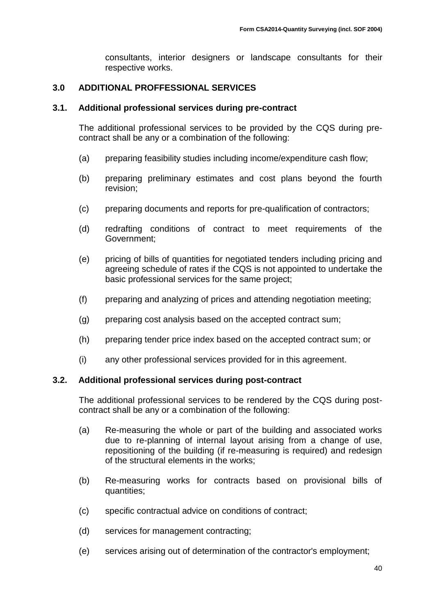consultants, interior designers or landscape consultants for their respective works.

## <span id="page-39-0"></span>**3.0 ADDITIONAL PROFFESSIONAL SERVICES**

#### <span id="page-39-1"></span>**3.1. Additional professional services during pre-contract**

The additional professional services to be provided by the CQS during precontract shall be any or a combination of the following:

- (a) preparing feasibility studies including income/expenditure cash flow;
- (b) preparing preliminary estimates and cost plans beyond the fourth revision;
- (c) preparing documents and reports for pre-qualification of contractors;
- (d) redrafting conditions of contract to meet requirements of the Government;
- (e) pricing of bills of quantities for negotiated tenders including pricing and agreeing schedule of rates if the CQS is not appointed to undertake the basic professional services for the same project;
- (f) preparing and analyzing of prices and attending negotiation meeting;
- (g) preparing cost analysis based on the accepted contract sum;
- (h) preparing tender price index based on the accepted contract sum; or
- (i) any other professional services provided for in this agreement.

#### <span id="page-39-2"></span>**3.2. Additional professional services during post-contract**

The additional professional services to be rendered by the CQS during postcontract shall be any or a combination of the following:

- (a) Re-measuring the whole or part of the building and associated works due to re-planning of internal layout arising from a change of use, repositioning of the building (if re-measuring is required) and redesign of the structural elements in the works;
- (b) Re-measuring works for contracts based on provisional bills of quantities;
- (c) specific contractual advice on conditions of contract;
- (d) services for management contracting;
- (e) services arising out of determination of the contractor's employment;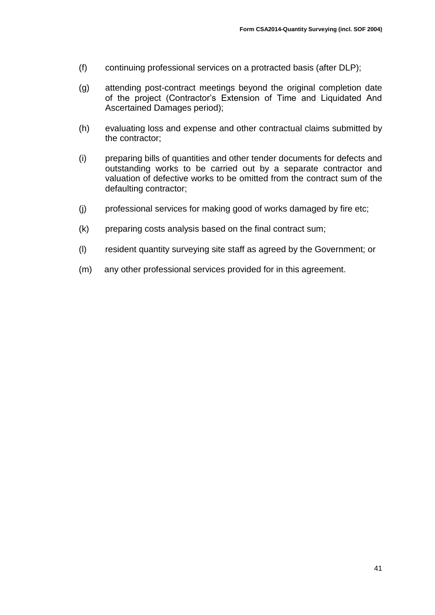- (f) continuing professional services on a protracted basis (after DLP);
- (g) attending post-contract meetings beyond the original completion date of the project (Contractor's Extension of Time and Liquidated And Ascertained Damages period);
- (h) evaluating loss and expense and other contractual claims submitted by the contractor;
- (i) preparing bills of quantities and other tender documents for defects and outstanding works to be carried out by a separate contractor and valuation of defective works to be omitted from the contract sum of the defaulting contractor;
- (j) professional services for making good of works damaged by fire etc;
- (k) preparing costs analysis based on the final contract sum;
- (l) resident quantity surveying site staff as agreed by the Government; or
- (m) any other professional services provided for in this agreement.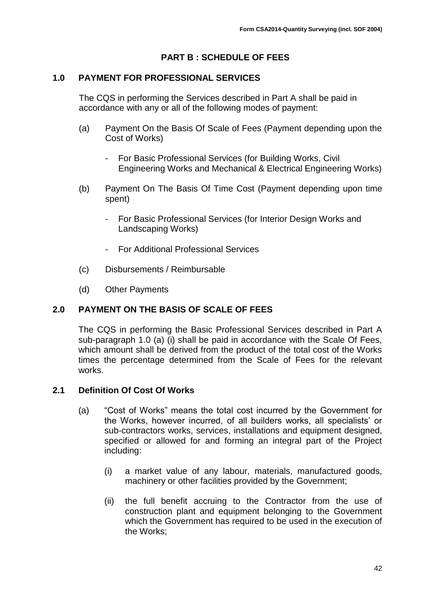## **PART B : SCHEDULE OF FEES**

#### <span id="page-41-1"></span><span id="page-41-0"></span>**1.0 PAYMENT FOR PROFESSIONAL SERVICES**

The CQS in performing the Services described in Part A shall be paid in accordance with any or all of the following modes of payment:

- (a) Payment On the Basis Of Scale of Fees (Payment depending upon the Cost of Works)
	- For Basic Professional Services (for Building Works, Civil Engineering Works and Mechanical & Electrical Engineering Works)
- (b) Payment On The Basis Of Time Cost (Payment depending upon time spent)
	- For Basic Professional Services (for Interior Design Works and Landscaping Works)
	- For Additional Professional Services
- (c) Disbursements / Reimbursable
- (d) Other Payments

#### <span id="page-41-2"></span>**2.0 PAYMENT ON THE BASIS OF SCALE OF FEES**

The CQS in performing the Basic Professional Services described in Part A sub-paragraph 1.0 (a) (i) shall be paid in accordance with the Scale Of Fees, which amount shall be derived from the product of the total cost of the Works times the percentage determined from the Scale of Fees for the relevant works.

#### <span id="page-41-3"></span>**2.1 Definition Of Cost Of Works**

- (a) "Cost of Works" means the total cost incurred by the Government for the Works, however incurred, of all builders works, all specialists' or sub-contractors works, services, installations and equipment designed, specified or allowed for and forming an integral part of the Project including:
	- (i) a market value of any labour, materials, manufactured goods, machinery or other facilities provided by the Government;
	- (ii) the full benefit accruing to the Contractor from the use of construction plant and equipment belonging to the Government which the Government has required to be used in the execution of the Works;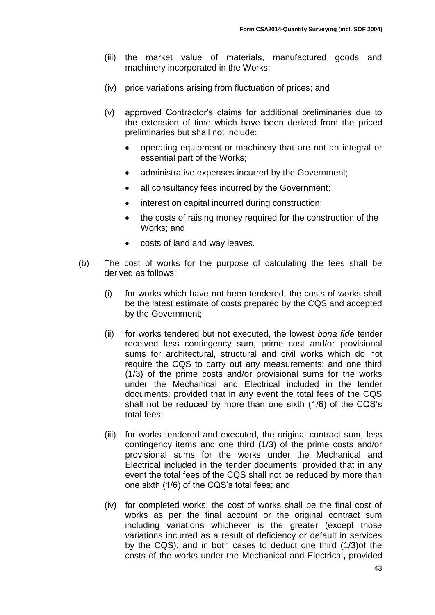- (iii) the market value of materials, manufactured goods and machinery incorporated in the Works;
- (iv) price variations arising from fluctuation of prices; and
- (v) approved Contractor's claims for additional preliminaries due to the extension of time which have been derived from the priced preliminaries but shall not include:
	- operating equipment or machinery that are not an integral or essential part of the Works;
	- administrative expenses incurred by the Government;
	- all consultancy fees incurred by the Government;
	- interest on capital incurred during construction;
	- the costs of raising money required for the construction of the Works; and
	- costs of land and way leaves.
- (b) The cost of works for the purpose of calculating the fees shall be derived as follows:
	- (i) for works which have not been tendered, the costs of works shall be the latest estimate of costs prepared by the CQS and accepted by the Government;
	- (ii) for works tendered but not executed, the lowest *bona fide* tender received less contingency sum, prime cost and/or provisional sums for architectural, structural and civil works which do not require the CQS to carry out any measurements; and one third (1/3) of the prime costs and/or provisional sums for the works under the Mechanical and Electrical included in the tender documents; provided that in any event the total fees of the CQS shall not be reduced by more than one sixth (1/6) of the CQS's total fees;
	- (iii) for works tendered and executed, the original contract sum, less contingency items and one third (1/3) of the prime costs and/or provisional sums for the works under the Mechanical and Electrical included in the tender documents; provided that in any event the total fees of the CQS shall not be reduced by more than one sixth (1/6) of the CQS's total fees; and
	- (iv) for completed works, the cost of works shall be the final cost of works as per the final account or the original contract sum including variations whichever is the greater (except those variations incurred as a result of deficiency or default in services by the CQS); and in both cases to deduct one third (1/3)of the costs of the works under the Mechanical and Electrical**,** provided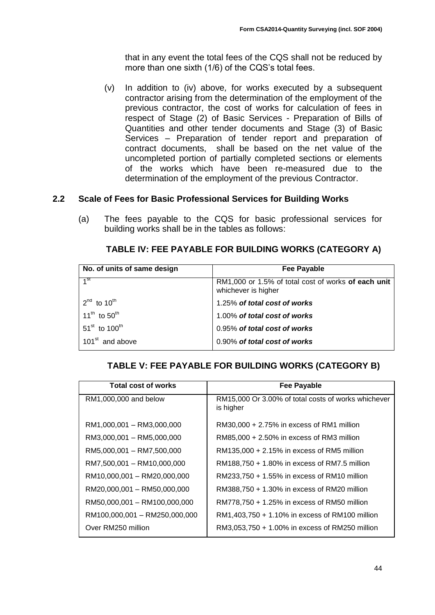that in any event the total fees of the CQS shall not be reduced by more than one sixth (1/6) of the CQS's total fees.

(v) In addition to (iv) above*,* for works executed by a subsequent contractor arising from the determination of the employment of the previous contractor, the cost of works for calculation of fees in respect of Stage (2) of Basic Services - Preparation of Bills of Quantities and other tender documents and Stage (3) of Basic Services – Preparation of tender report and preparation of contract documents, shall be based on the net value of the uncompleted portion of partially completed sections or elements of the works which have been re-measured due to the determination of the employment of the previous Contractor.

## <span id="page-43-0"></span>**2.2 Scale of Fees for Basic Professional Services for Building Works**

(a) The fees payable to the CQS for basic professional services for building works shall be in the tables as follows:

## **TABLE IV: FEE PAYABLE FOR BUILDING WORKS (CATEGORY A)**

| No. of units of same design           | <b>Fee Payable</b>                                                         |
|---------------------------------------|----------------------------------------------------------------------------|
| 4 <sub>st</sub>                       | RM1,000 or 1.5% of total cost of works of each unit<br>whichever is higher |
| $2^{nd}$ to 10 <sup>th</sup>          | 1.25% of total cost of works                                               |
| 11 <sup>th</sup> to 50 <sup>th</sup>  | 1.00% of total cost of works                                               |
| $51^{\text{st}}$ to $100^{\text{th}}$ | 0.95% of total cost of works                                               |
| 101 <sup>st</sup> and above           | 0.90% of total cost of works                                               |

## **TABLE V: FEE PAYABLE FOR BUILDING WORKS (CATEGORY B)**

| <b>Total cost of works</b>    | <b>Fee Payable</b>                                               |
|-------------------------------|------------------------------------------------------------------|
| RM1,000,000 and below         | RM15,000 Or 3.00% of total costs of works whichever<br>is higher |
| RM1,000,001 - RM3,000,000     | $RM30,000 + 2.75\%$ in excess of RM1 million                     |
| RM3,000,001 - RM5,000,000     | $RM85,000 + 2.50\%$ in excess of RM3 million                     |
| RM5,000,001 - RM7,500,000     | RM135,000 + 2.15% in excess of RM5 million                       |
| RM7,500,001 - RM10,000,000    | RM188,750 + 1.80% in excess of RM7.5 million                     |
| RM10,000,001 - RM20,000,000   | RM233,750 + 1.55% in excess of RM10 million                      |
| RM20,000,001 - RM50,000,000   | RM388,750 + 1.30% in excess of RM20 million                      |
| RM50,000,001 - RM100,000,000  | RM778,750 + 1.25% in excess of RM50 million                      |
| RM100,000,001 - RM250,000,000 | RM1,403,750 + 1.10% in excess of RM100 million                   |
| Over RM250 million            | RM3,053,750 + 1.00% in excess of RM250 million                   |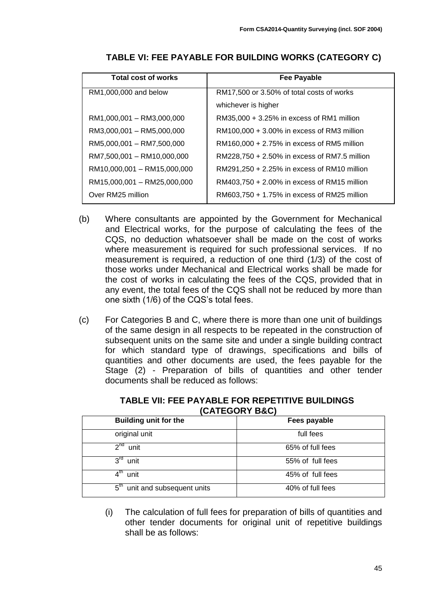| <b>Total cost of works</b>  | Fee Payable                                  |
|-----------------------------|----------------------------------------------|
| RM1,000,000 and below       | RM17,500 or 3.50% of total costs of works    |
|                             | whichever is higher                          |
| RM1,000,001 - RM3,000,000   | $RM35,000 + 3.25\%$ in excess of RM1 million |
| RM3,000,001 - RM5,000,000   | RM100,000 + 3.00% in excess of RM3 million   |
| RM5,000,001 - RM7,500,000   | RM160,000 + 2.75% in excess of RM5 million   |
| RM7,500,001 - RM10,000,000  | RM228,750 + 2.50% in excess of RM7.5 million |
| RM10,000,001 - RM15,000,000 | RM291,250 + 2.25% in excess of RM10 million  |
| RM15,000,001 - RM25,000,000 | RM403,750 + 2.00% in excess of RM15 million  |
| Over RM25 million           | RM603,750 + 1.75% in excess of RM25 million  |

**TABLE VI: FEE PAYABLE FOR BUILDING WORKS (CATEGORY C)**

- (b) Where consultants are appointed by the Government for Mechanical and Electrical works, for the purpose of calculating the fees of the CQS, no deduction whatsoever shall be made on the cost of works where measurement is required for such professional services. If no measurement is required, a reduction of one third (1/3) of the cost of those works under Mechanical and Electrical works shall be made for the cost of works in calculating the fees of the CQS, provided that in any event, the total fees of the CQS shall not be reduced by more than one sixth (1/6) of the CQS's total fees.
- (c) For Categories B and C, where there is more than one unit of buildings of the same design in all respects to be repeated in the construction of subsequent units on the same site and under a single building contract for which standard type of drawings, specifications and bills of quantities and other documents are used, the fees payable for the Stage (2) - Preparation of bills of quantities and other tender documents shall be reduced as follows:

| UNILUUNI DUU                                  |                  |  |
|-----------------------------------------------|------------------|--|
| <b>Building unit for the</b>                  | Fees payable     |  |
| original unit                                 | full fees        |  |
| $2^{nd}$<br>unit                              | 65% of full fees |  |
| $3^{\text{rd}}$<br>unit                       | 55% of full fees |  |
| 4™<br>unit                                    | 45% of full fees |  |
| $5^{\mathsf{m}}$<br>unit and subsequent units | 40% of full fees |  |

**TABLE VII: FEE PAYABLE FOR REPETITIVE BUILDINGS (CATEGORY B&C)**

(i) The calculation of full fees for preparation of bills of quantities and other tender documents for original unit of repetitive buildings shall be as follows: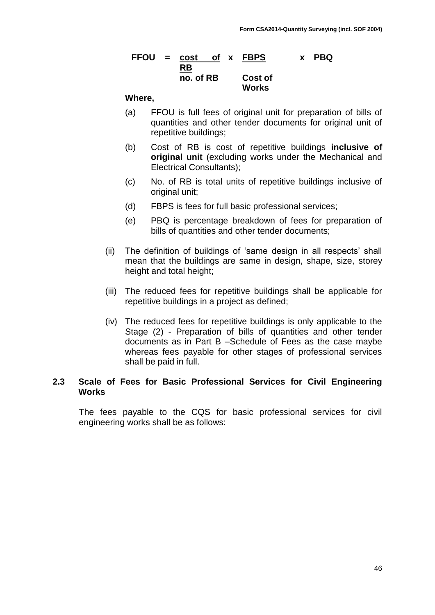#### **FFOU = cost of x FBPS x PBQ RB no. of RB Cost of Works**

#### **Where,**

- (a) FFOU is full fees of original unit for preparation of bills of quantities and other tender documents for original unit of repetitive buildings;
- (b) Cost of RB is cost of repetitive buildings **inclusive of original unit** (excluding works under the Mechanical and Electrical Consultants);
- (c) No. of RB is total units of repetitive buildings inclusive of original unit;
- (d) FBPS is fees for full basic professional services;
- (e) PBQ is percentage breakdown of fees for preparation of bills of quantities and other tender documents;
- (ii) The definition of buildings of 'same design in all respects' shall mean that the buildings are same in design, shape, size, storey height and total height;
- (iii) The reduced fees for repetitive buildings shall be applicable for repetitive buildings in a project as defined;
- (iv) The reduced fees for repetitive buildings is only applicable to the Stage (2) - Preparation of bills of quantities and other tender documents as in Part B –Schedule of Fees as the case maybe whereas fees payable for other stages of professional services shall be paid in full.

#### <span id="page-45-0"></span>**2.3 Scale of Fees for Basic Professional Services for Civil Engineering Works**

The fees payable to the CQS for basic professional services for civil engineering works shall be as follows: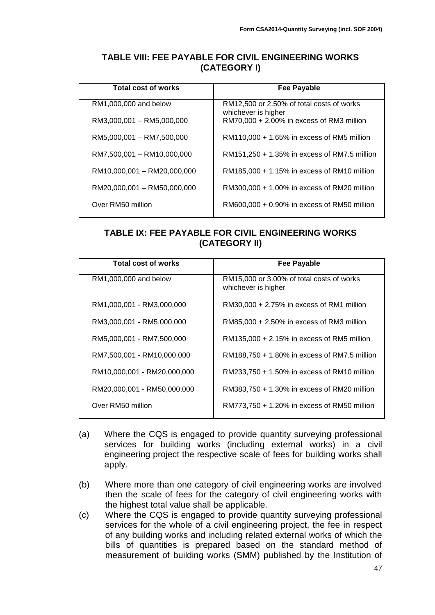### **TABLE VIII: FEE PAYABLE FOR CIVIL ENGINEERING WORKS (CATEGORY I)**

| Total cost of works         | Fee Payable                                                      |
|-----------------------------|------------------------------------------------------------------|
| RM1,000,000 and below       | RM12,500 or 2.50% of total costs of works<br>whichever is higher |
| RM3,000,001 - RM5,000,000   | RM70,000 + 2.00% in excess of RM3 million                        |
| RM5,000,001 - RM7,500,000   | RM110,000 + 1.65% in excess of RM5 million                       |
| RM7,500,001 - RM10,000,000  | RM151,250 + 1.35% in excess of RM7.5 million                     |
| RM10,000,001 - RM20,000,000 | RM185,000 + 1.15% in excess of RM10 million                      |
| RM20,000,001 - RM50,000,000 | RM300,000 + 1.00% in excess of RM20 million                      |
| Over RM50 million           | RM600,000 + 0.90% in excess of RM50 million                      |

## **TABLE IX: FEE PAYABLE FOR CIVIL ENGINEERING WORKS (CATEGORY II)**

| Total cost of works         | Fee Payable                                                      |
|-----------------------------|------------------------------------------------------------------|
| RM1,000,000 and below       | RM15,000 or 3.00% of total costs of works<br>whichever is higher |
| RM1,000,001 - RM3,000,000   | $RM30,000 + 2.75\%$ in excess of RM1 million                     |
| RM3,000,001 - RM5,000,000   | $RM85,000 + 2.50\%$ in excess of RM3 million                     |
| RM5,000,001 - RM7,500,000   | RM135,000 + 2.15% in excess of RM5 million                       |
| RM7,500,001 - RM10,000,000  | RM188,750 + 1.80% in excess of RM7.5 million                     |
| RM10,000,001 - RM20,000,000 | RM233,750 + 1.50% in excess of RM10 million                      |
| RM20,000,001 - RM50,000,000 | RM383,750 + 1.30% in excess of RM20 million                      |
| Over RM50 million           | RM773,750 + 1.20% in excess of RM50 million                      |

- (a) Where the CQS is engaged to provide quantity surveying professional services for building works (including external works) in a civil engineering project the respective scale of fees for building works shall apply.
- (b) Where more than one category of civil engineering works are involved then the scale of fees for the category of civil engineering works with the highest total value shall be applicable.
- (c) Where the CQS is engaged to provide quantity surveying professional services for the whole of a civil engineering project, the fee in respect of any building works and including related external works of which the bills of quantities is prepared based on the standard method of measurement of building works (SMM) published by the Institution of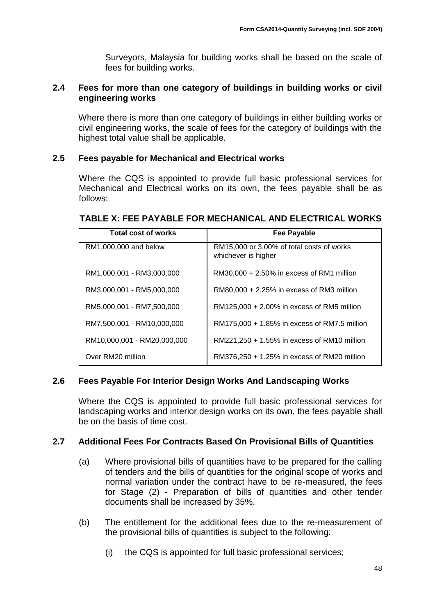Surveyors, Malaysia for building works shall be based on the scale of fees for building works.

#### <span id="page-47-0"></span>**2.4 Fees for more than one category of buildings in building works or civil engineering works**

Where there is more than one category of buildings in either building works or civil engineering works, the scale of fees for the category of buildings with the highest total value shall be applicable.

## <span id="page-47-1"></span>**2.5 Fees payable for Mechanical and Electrical works**

Where the CQS is appointed to provide full basic professional services for Mechanical and Electrical works on its own, the fees payable shall be as follows:

## **TABLE X: FEE PAYABLE FOR MECHANICAL AND ELECTRICAL WORKS**

| <b>Total cost of works</b>  | Fee Payable                                                      |
|-----------------------------|------------------------------------------------------------------|
| RM1,000,000 and below       | RM15,000 or 3.00% of total costs of works<br>whichever is higher |
| RM1,000,001 - RM3,000,000   | $RM30,000 + 2.50\%$ in excess of RM1 million                     |
| RM3,000,001 - RM5,000,000   | $RM80,000 + 2.25\%$ in excess of RM3 million                     |
| RM5,000,001 - RM7,500,000   | RM125,000 + 2.00% in excess of RM5 million                       |
| RM7,500,001 - RM10,000,000  | RM175,000 + 1.85% in excess of RM7.5 million                     |
| RM10,000,001 - RM20,000,000 | RM221,250 + 1.55% in excess of RM10 million                      |
| Over RM20 million           | RM376,250 + 1.25% in excess of RM20 million                      |

## <span id="page-47-2"></span>**2.6 Fees Payable For Interior Design Works And Landscaping Works**

Where the CQS is appointed to provide full basic professional services for landscaping works and interior design works on its own, the fees payable shall be on the basis of time cost.

#### <span id="page-47-3"></span>**2.7 Additional Fees For Contracts Based On Provisional Bills of Quantities**

- (a) Where provisional bills of quantities have to be prepared for the calling of tenders and the bills of quantities for the original scope of works and normal variation under the contract have to be re-measured, the fees for Stage (2) - Preparation of bills of quantities and other tender documents shall be increased by 35%.
- (b) The entitlement for the additional fees due to the re-measurement of the provisional bills of quantities is subject to the following:
	- (i) the CQS is appointed for full basic professional services;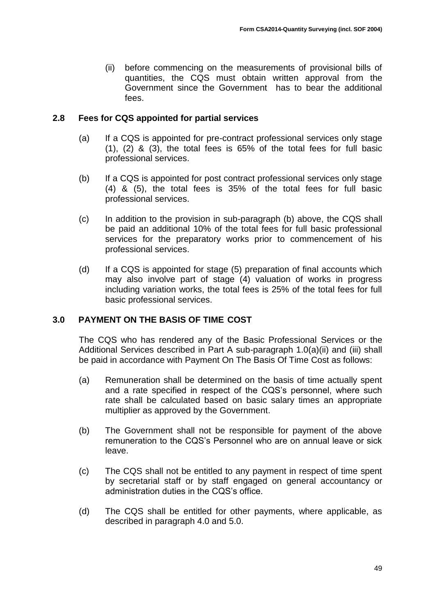(ii) before commencing on the measurements of provisional bills of quantities, the CQS must obtain written approval from the Government since the Government has to bear the additional fees.

## <span id="page-48-0"></span>**2.8 Fees for CQS appointed for partial services**

- (a) If a CQS is appointed for pre-contract professional services only stage (1), (2) & (3), the total fees is 65% of the total fees for full basic professional services.
- (b) If a CQS is appointed for post contract professional services only stage (4) & (5), the total fees is 35% of the total fees for full basic professional services.
- (c) In addition to the provision in sub-paragraph (b) above, the CQS shall be paid an additional 10% of the total fees for full basic professional services for the preparatory works prior to commencement of his professional services.
- (d) If a CQS is appointed for stage (5) preparation of final accounts which may also involve part of stage (4) valuation of works in progress including variation works, the total fees is 25% of the total fees for full basic professional services.

## <span id="page-48-1"></span>**3.0 PAYMENT ON THE BASIS OF TIME COST**

The CQS who has rendered any of the Basic Professional Services or the Additional Services described in Part A sub-paragraph 1.0(a)(ii) and (iii) shall be paid in accordance with Payment On The Basis Of Time Cost as follows:

- (a) Remuneration shall be determined on the basis of time actually spent and a rate specified in respect of the CQS's personnel, where such rate shall be calculated based on basic salary times an appropriate multiplier as approved by the Government.
- (b) The Government shall not be responsible for payment of the above remuneration to the CQS's Personnel who are on annual leave or sick leave.
- (c) The CQS shall not be entitled to any payment in respect of time spent by secretarial staff or by staff engaged on general accountancy or administration duties in the CQS's office.
- (d) The CQS shall be entitled for other payments, where applicable, as described in paragraph 4.0 and 5.0.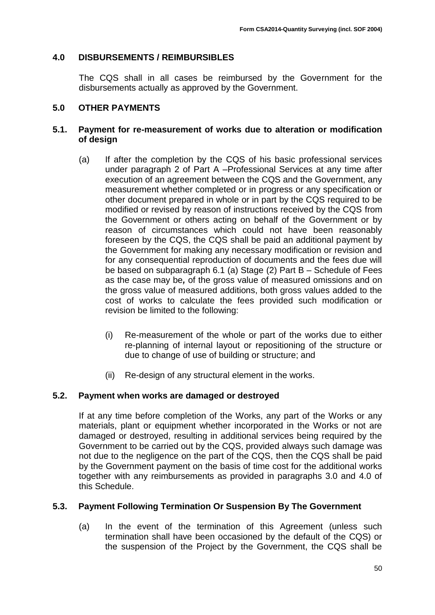## <span id="page-49-0"></span>**4.0 DISBURSEMENTS / REIMBURSIBLES**

The CQS shall in all cases be reimbursed by the Government for the disbursements actually as approved by the Government.

## <span id="page-49-1"></span>**5.0 OTHER PAYMENTS**

#### <span id="page-49-2"></span>**5.1. Payment for re-measurement of works due to alteration or modification of design**

- (a) If after the completion by the CQS of his basic professional services under paragraph 2 of Part A –Professional Services at any time after execution of an agreement between the CQS and the Government, any measurement whether completed or in progress or any specification or other document prepared in whole or in part by the CQS required to be modified or revised by reason of instructions received by the CQS from the Government or others acting on behalf of the Government or by reason of circumstances which could not have been reasonably foreseen by the CQS, the CQS shall be paid an additional payment by the Government for making any necessary modification or revision and for any consequential reproduction of documents and the fees due will be based on subparagraph 6.1 (a) Stage (2) Part B – Schedule of Fees as the case may be*,* of the gross value of measured omissions and on the gross value of measured additions, both gross values added to the cost of works to calculate the fees provided such modification or revision be limited to the following:
	- (i) Re-measurement of the whole or part of the works due to either re-planning of internal layout or repositioning of the structure or due to change of use of building or structure; and
	- (ii) Re-design of any structural element in the works.

## <span id="page-49-3"></span>**5.2. Payment when works are damaged or destroyed**

If at any time before completion of the Works, any part of the Works or any materials, plant or equipment whether incorporated in the Works or not are damaged or destroyed, resulting in additional services being required by the Government to be carried out by the CQS, provided always such damage was not due to the negligence on the part of the CQS, then the CQS shall be paid by the Government payment on the basis of time cost for the additional works together with any reimbursements as provided in paragraphs 3.0 and 4.0 of this Schedule.

## <span id="page-49-4"></span>**5.3. Payment Following Termination Or Suspension By The Government**

(a) In the event of the termination of this Agreement (unless such termination shall have been occasioned by the default of the CQS) or the suspension of the Project by the Government, the CQS shall be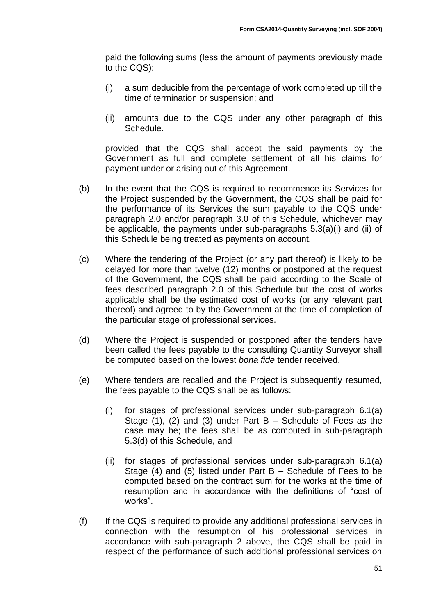paid the following sums (less the amount of payments previously made to the CQS):

- (i) a sum deducible from the percentage of work completed up till the time of termination or suspension; and
- (ii) amounts due to the CQS under any other paragraph of this Schedule.

provided that the CQS shall accept the said payments by the Government as full and complete settlement of all his claims for payment under or arising out of this Agreement.

- (b) In the event that the CQS is required to recommence its Services for the Project suspended by the Government, the CQS shall be paid for the performance of its Services the sum payable to the CQS under paragraph 2.0 and/or paragraph 3.0 of this Schedule, whichever may be applicable, the payments under sub-paragraphs 5.3(a)(i) and (ii) of this Schedule being treated as payments on account.
- (c) Where the tendering of the Project (or any part thereof) is likely to be delayed for more than twelve (12) months or postponed at the request of the Government, the CQS shall be paid according to the Scale of fees described paragraph 2.0 of this Schedule but the cost of works applicable shall be the estimated cost of works (or any relevant part thereof) and agreed to by the Government at the time of completion of the particular stage of professional services.
- (d) Where the Project is suspended or postponed after the tenders have been called the fees payable to the consulting Quantity Surveyor shall be computed based on the lowest *bona fide* tender received.
- (e) Where tenders are recalled and the Project is subsequently resumed, the fees payable to the CQS shall be as follows:
	- (i) for stages of professional services under sub-paragraph 6.1(a) Stage (1), (2) and (3) under Part B – Schedule of Fees as the case may be; the fees shall be as computed in sub-paragraph 5.3(d) of this Schedule, and
	- (ii) for stages of professional services under sub-paragraph 6.1(a) Stage (4) and (5) listed under Part B – Schedule of Fees to be computed based on the contract sum for the works at the time of resumption and in accordance with the definitions of "cost of works".
- (f) If the CQS is required to provide any additional professional services in connection with the resumption of his professional services in accordance with sub-paragraph 2 above, the CQS shall be paid in respect of the performance of such additional professional services on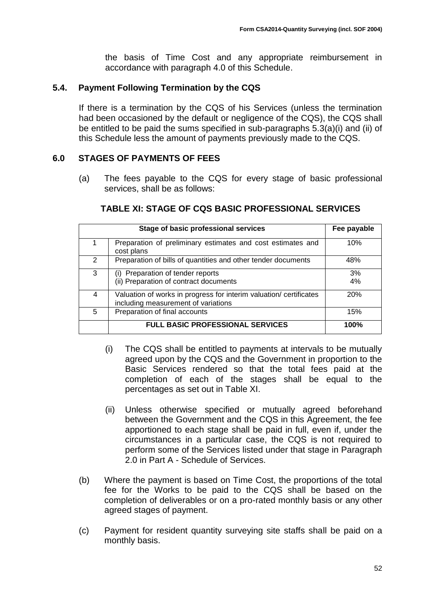the basis of Time Cost and any appropriate reimbursement in accordance with paragraph 4.0 of this Schedule.

## <span id="page-51-0"></span>**5.4. Payment Following Termination by the CQS**

If there is a termination by the CQS of his Services (unless the termination had been occasioned by the default or negligence of the CQS), the CQS shall be entitled to be paid the sums specified in sub-paragraphs 5.3(a)(i) and (ii) of this Schedule less the amount of payments previously made to the CQS.

## <span id="page-51-1"></span>**6.0 STAGES OF PAYMENTS OF FEES**

(a) The fees payable to the CQS for every stage of basic professional services, shall be as follows:

## **TABLE XI: STAGE OF CQS BASIC PROFESSIONAL SERVICES**

|               | Fee payable                                                                                               |            |
|---------------|-----------------------------------------------------------------------------------------------------------|------------|
|               | Preparation of preliminary estimates and cost estimates and<br>cost plans                                 | 10%        |
| $\mathcal{P}$ | Preparation of bills of quantities and other tender documents                                             | 48%        |
| 3             | Preparation of tender reports<br>(i)<br>(ii) Preparation of contract documents                            | 3%<br>4%   |
| 4             | Valuation of works in progress for interim valuation/ certificates<br>including measurement of variations | <b>20%</b> |
| 5             | Preparation of final accounts                                                                             | 15%        |
|               | <b>FULL BASIC PROFESSIONAL SERVICES</b>                                                                   | 100%       |

- (i) The CQS shall be entitled to payments at intervals to be mutually agreed upon by the CQS and the Government in proportion to the Basic Services rendered so that the total fees paid at the completion of each of the stages shall be equal to the percentages as set out in Table XI.
- (ii) Unless otherwise specified or mutually agreed beforehand between the Government and the CQS in this Agreement, the fee apportioned to each stage shall be paid in full, even if, under the circumstances in a particular case, the CQS is not required to perform some of the Services listed under that stage in Paragraph 2.0 in Part A - Schedule of Services.
- (b) Where the payment is based on Time Cost, the proportions of the total fee for the Works to be paid to the CQS shall be based on the completion of deliverables or on a pro-rated monthly basis or any other agreed stages of payment.
- (c) Payment for resident quantity surveying site staffs shall be paid on a monthly basis.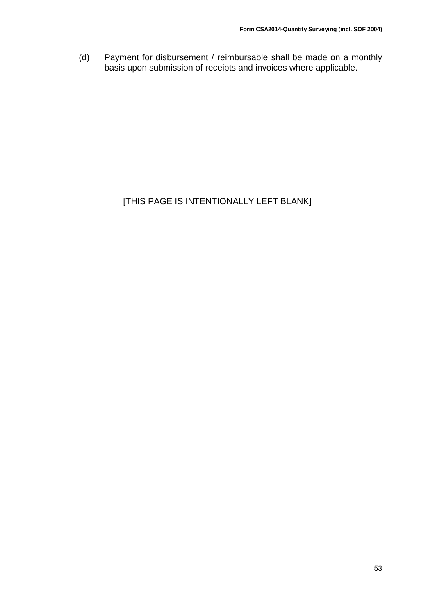(d) Payment for disbursement / reimbursable shall be made on a monthly basis upon submission of receipts and invoices where applicable.

# [THIS PAGE IS INTENTIONALLY LEFT BLANK]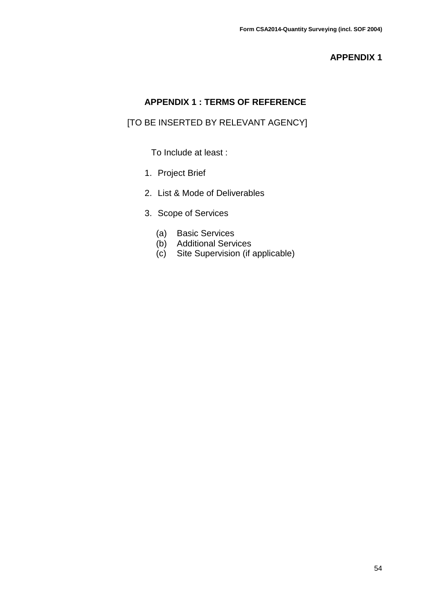## **APPENDIX 1 : TERMS OF REFERENCE**

## <span id="page-53-0"></span>[TO BE INSERTED BY RELEVANT AGENCY]

To Include at least :

- 1. Project Brief
- 2. List & Mode of Deliverables
- 3. Scope of Services
	- (a) Basic Services
	- (b) Additional Services
	- (c) Site Supervision (if applicable)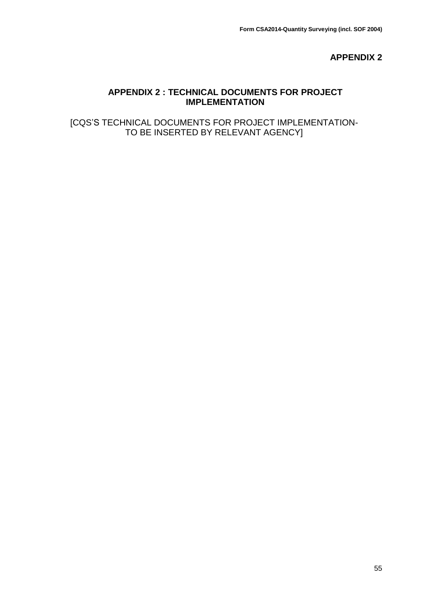#### **APPENDIX 2 : TECHNICAL DOCUMENTS FOR PROJECT IMPLEMENTATION**

<span id="page-54-0"></span>[CQS'S TECHNICAL DOCUMENTS FOR PROJECT IMPLEMENTATION-TO BE INSERTED BY RELEVANT AGENCY]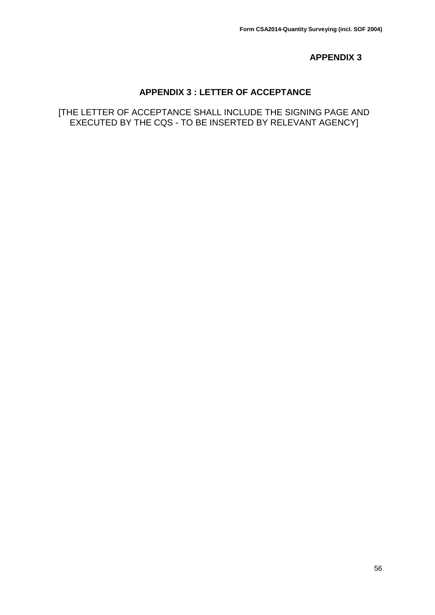## **APPENDIX 3 : LETTER OF ACCEPTANCE**

<span id="page-55-0"></span>[THE LETTER OF ACCEPTANCE SHALL INCLUDE THE SIGNING PAGE AND EXECUTED BY THE CQS - TO BE INSERTED BY RELEVANT AGENCY]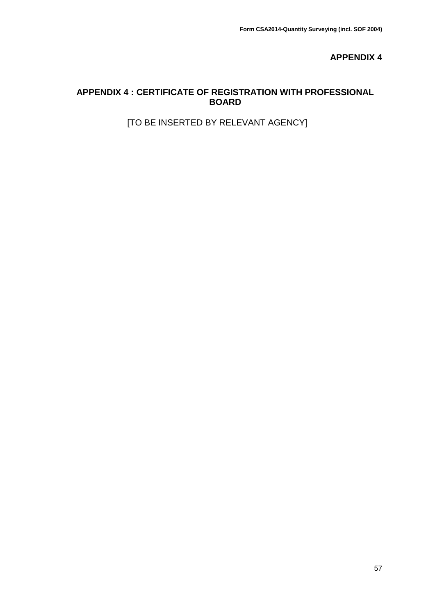## <span id="page-56-0"></span>**APPENDIX 4 : CERTIFICATE OF REGISTRATION WITH PROFESSIONAL BOARD**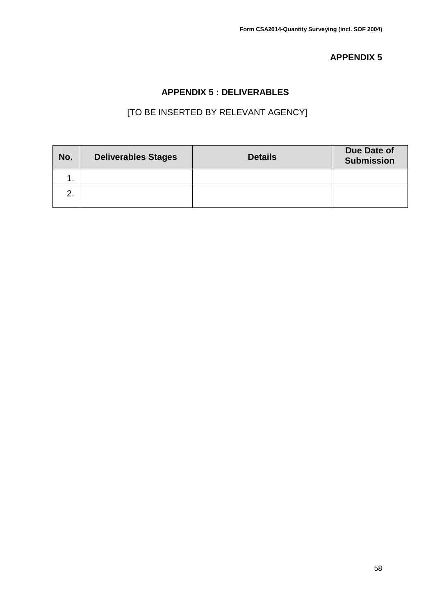## **APPENDIX 5 : DELIVERABLES**

<span id="page-57-0"></span>

| No. | <b>Deliverables Stages</b> | <b>Details</b> | Due Date of<br><b>Submission</b> |
|-----|----------------------------|----------------|----------------------------------|
|     |                            |                |                                  |
| ⌒   |                            |                |                                  |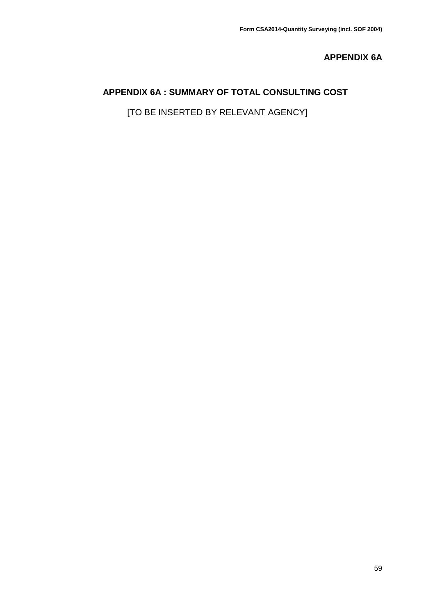## **APPENDIX 6A**

## <span id="page-58-0"></span>**APPENDIX 6A : SUMMARY OF TOTAL CONSULTING COST**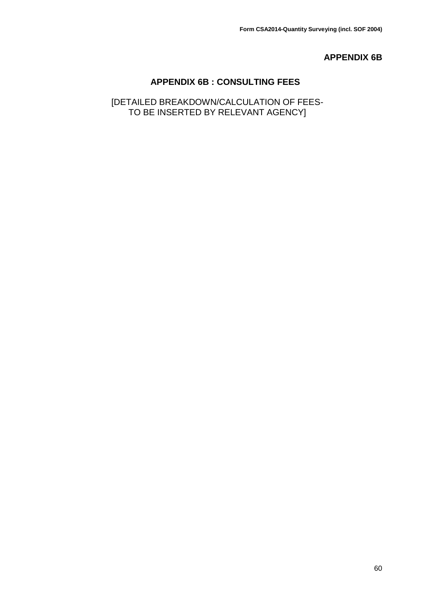#### **APPENDIX 6B**

#### **APPENDIX 6B : CONSULTING FEES**

<span id="page-59-0"></span>[DETAILED BREAKDOWN/CALCULATION OF FEES-TO BE INSERTED BY RELEVANT AGENCY]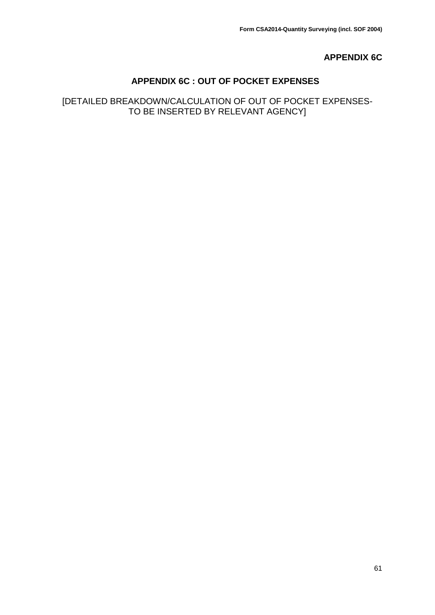## **APPENDIX 6C**

## **APPENDIX 6C : OUT OF POCKET EXPENSES**

## <span id="page-60-0"></span>[DETAILED BREAKDOWN/CALCULATION OF OUT OF POCKET EXPENSES-TO BE INSERTED BY RELEVANT AGENCY]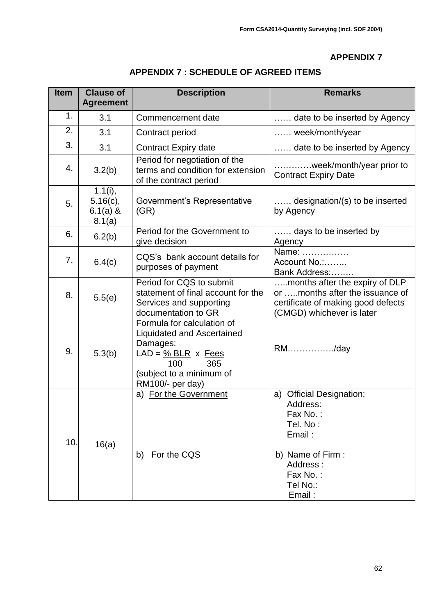<span id="page-61-0"></span>

| <b>Item</b> | <b>Clause of</b><br><b>Agreement</b>           | <b>Description</b>                                                                                                                                                               | <b>Remarks</b>                                                                                                                           |
|-------------|------------------------------------------------|----------------------------------------------------------------------------------------------------------------------------------------------------------------------------------|------------------------------------------------------------------------------------------------------------------------------------------|
| 1.          | 3.1                                            | Commencement date                                                                                                                                                                | date to be inserted by Agency                                                                                                            |
| 2.          | 3.1                                            | Contract period                                                                                                                                                                  | week/month/year                                                                                                                          |
| 3.          | 3.1                                            | Contract Expiry date                                                                                                                                                             | date to be inserted by Agency                                                                                                            |
| 4.          | 3.2(b)                                         | Period for negotiation of the<br>terms and condition for extension<br>of the contract period                                                                                     | week/month/year prior to<br><b>Contract Expiry Date</b>                                                                                  |
| 5.          | 1.1(i),<br>$5.16(c)$ ,<br>$6.1(a)$ &<br>8.1(a) | Government's Representative<br>(GR)                                                                                                                                              | designation/(s) to be inserted<br>by Agency                                                                                              |
| 6.          | 6.2(b)                                         | Period for the Government to<br>give decision                                                                                                                                    | days to be inserted by<br>Agency                                                                                                         |
| 7.          | 6.4(c)                                         | CQS's bank account details for<br>purposes of payment                                                                                                                            | Name:<br>Account No<br>Bank Address:                                                                                                     |
| 8.          | 5.5(e)                                         | Period for CQS to submit<br>statement of final account for the<br>Services and supporting<br>documentation to GR                                                                 | months after the expiry of DLP<br>or months after the issuance of<br>certificate of making good defects<br>(CMGD) whichever is later     |
| 9.          | 5.3(b)                                         | Formula for calculation of<br><b>Liquidated and Ascertained</b><br>Damages:<br>$LAD = \frac{9}{6} BLR \times Fees$<br>365<br>100<br>(subject to a minimum of<br>RM100/- per day) | RM/day                                                                                                                                   |
| 10.         | 16(a)                                          | a) For the Government<br>For the CQS<br>b)                                                                                                                                       | a) Official Designation:<br>Address:<br>Fax No.:<br>Tel. No:<br>Email:<br>b) Name of Firm:<br>Address:<br>Fax No.:<br>Tel No.:<br>Email: |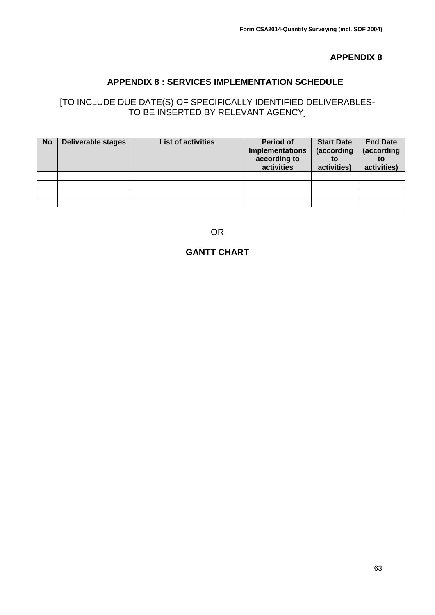### **APPENDIX 8 : SERVICES IMPLEMENTATION SCHEDULE**

## <span id="page-62-0"></span>[TO INCLUDE DUE DATE(S) OF SPECIFICALLY IDENTIFIED DELIVERABLES-TO BE INSERTED BY RELEVANT AGENCY]

| <b>No</b> | <b>Deliverable stages</b> | <b>List of activities</b> | Period of<br><b>Implementations</b><br>according to<br>activities | <b>Start Date</b><br>(according<br>to<br>activities) | <b>End Date</b><br>(according<br>to<br>activities) |
|-----------|---------------------------|---------------------------|-------------------------------------------------------------------|------------------------------------------------------|----------------------------------------------------|
|           |                           |                           |                                                                   |                                                      |                                                    |
|           |                           |                           |                                                                   |                                                      |                                                    |
|           |                           |                           |                                                                   |                                                      |                                                    |
|           |                           |                           |                                                                   |                                                      |                                                    |

OR

## **GANTT CHART**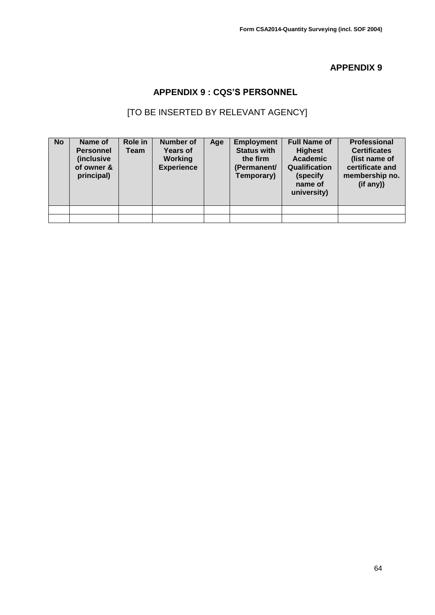## **APPENDIX 9 : CQS'S PERSONNEL**

<span id="page-63-0"></span>

| <b>No</b> | Name of<br><b>Personnel</b><br><i>(inclusive</i><br>of owner &<br>principal) | Role in<br>Team | <b>Number of</b><br><b>Years of</b><br><b>Working</b><br><b>Experience</b> | Age | <b>Employment</b><br><b>Status with</b><br>the firm<br>(Permanent/<br>Temporary) | <b>Full Name of</b><br><b>Highest</b><br><b>Academic</b><br><b>Qualification</b><br>(specify<br>name of<br>university) | <b>Professional</b><br><b>Certificates</b><br>(list name of<br>certificate and<br>membership no.<br>(i f any) |
|-----------|------------------------------------------------------------------------------|-----------------|----------------------------------------------------------------------------|-----|----------------------------------------------------------------------------------|------------------------------------------------------------------------------------------------------------------------|---------------------------------------------------------------------------------------------------------------|
|           |                                                                              |                 |                                                                            |     |                                                                                  |                                                                                                                        |                                                                                                               |
|           |                                                                              |                 |                                                                            |     |                                                                                  |                                                                                                                        |                                                                                                               |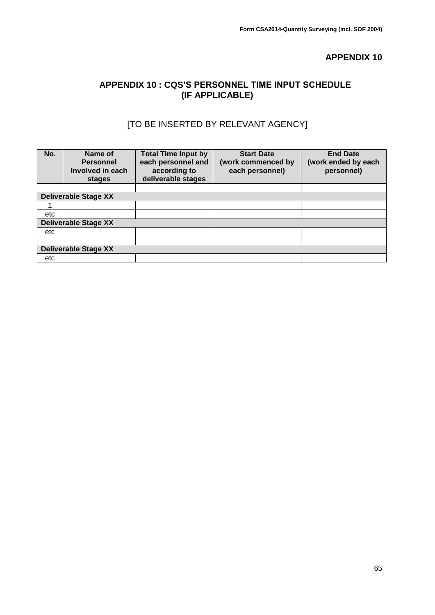#### <span id="page-64-0"></span>**APPENDIX 10 : CQS'S PERSONNEL TIME INPUT SCHEDULE (IF APPLICABLE)**

| No. | Name of<br><b>Personnel</b><br>Involved in each<br>stages | <b>Total Time Input by</b><br>each personnel and<br>according to<br>deliverable stages | <b>Start Date</b><br>(work commenced by<br>each personnel) | <b>End Date</b><br>(work ended by each<br>personnel) |
|-----|-----------------------------------------------------------|----------------------------------------------------------------------------------------|------------------------------------------------------------|------------------------------------------------------|
|     |                                                           |                                                                                        |                                                            |                                                      |
|     | <b>Deliverable Stage XX</b>                               |                                                                                        |                                                            |                                                      |
|     |                                                           |                                                                                        |                                                            |                                                      |
| etc |                                                           |                                                                                        |                                                            |                                                      |
|     | <b>Deliverable Stage XX</b>                               |                                                                                        |                                                            |                                                      |
| etc |                                                           |                                                                                        |                                                            |                                                      |
|     |                                                           |                                                                                        |                                                            |                                                      |
|     | <b>Deliverable Stage XX</b>                               |                                                                                        |                                                            |                                                      |
| etc |                                                           |                                                                                        |                                                            |                                                      |
|     |                                                           |                                                                                        |                                                            |                                                      |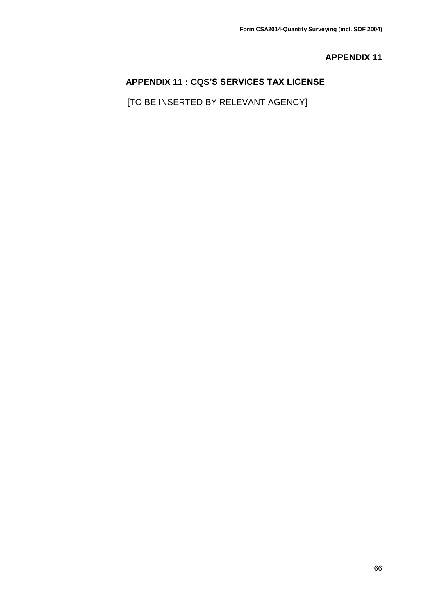## <span id="page-65-0"></span>**APPENDIX 11 : CQS'S SERVICES TAX LICENSE**